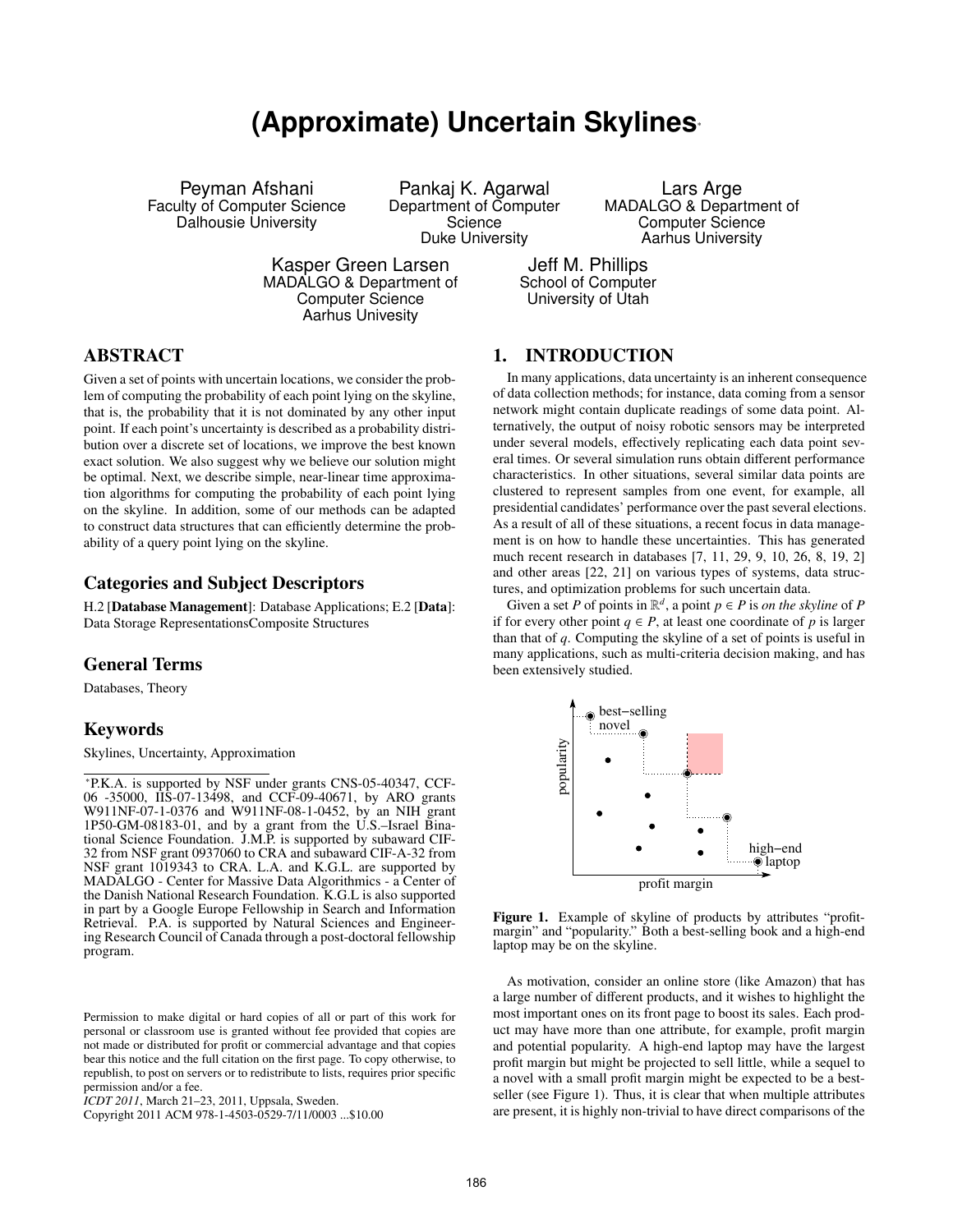# **(Approximate) Uncertain Skylines**<sup>∗</sup>

Peyman Afshani Faculty of Computer Science Dalhousie University

Pankaj K. Agarwal Department of Computer **Science** Duke University

Lars Arge MADALGO & Department of Computer Science Aarhus University

Kasper Green Larsen MADALGO & Department of Computer Science Aarhus Univesity

Jeff M. Phillips School of Computer University of Utah

## ABSTRACT

Given a set of points with uncertain locations, we consider the problem of computing the probability of each point lying on the skyline, that is, the probability that it is not dominated by any other input point. If each point's uncertainty is described as a probability distribution over a discrete set of locations, we improve the best known exact solution. We also suggest why we believe our solution might be optimal. Next, we describe simple, near-linear time approximation algorithms for computing the probability of each point lying on the skyline. In addition, some of our methods can be adapted to construct data structures that can efficiently determine the probability of a query point lying on the skyline.

## Categories and Subject Descriptors

H.2 [Database Management]: Database Applications; E.2 [Data]: Data Storage RepresentationsComposite Structures

#### General Terms

Databases, Theory

## Keywords

Skylines, Uncertainty, Approximation

Copyright 2011 ACM 978-1-4503-0529-7/11/0003 ...\$10.00

## 1. INTRODUCTION

In many applications, data uncertainty is an inherent consequence of data collection methods; for instance, data coming from a sensor network might contain duplicate readings of some data point. Alternatively, the output of noisy robotic sensors may be interpreted under several models, effectively replicating each data point several times. Or several simulation runs obtain different performance characteristics. In other situations, several similar data points are clustered to represent samples from one event, for example, all presidential candidates' performance over the past several elections. As a result of all of these situations, a recent focus in data management is on how to handle these uncertainties. This has generated much recent research in databases [7, 11, 29, 9, 10, 26, 8, 19, 2] and other areas [22, 21] on various types of systems, data structures, and optimization problems for such uncertain data.

Given a set *P* of points in  $\mathbb{R}^d$ , a point  $p \in P$  is *on the skyline* of *P* if for every other point  $q \in P$ , at least one coordinate of *p* is larger than that of *q*. Computing the skyline of a set of points is useful in many applications, such as multi-criteria decision making, and has been extensively studied.



Figure 1. Example of skyline of products by attributes "profitmargin" and "popularity." Both a best-selling book and a high-end laptop may be on the skyline.

As motivation, consider an online store (like Amazon) that has a large number of different products, and it wishes to highlight the most important ones on its front page to boost its sales. Each product may have more than one attribute, for example, profit margin and potential popularity. A high-end laptop may have the largest profit margin but might be projected to sell little, while a sequel to a novel with a small profit margin might be expected to be a bestseller (see Figure 1). Thus, it is clear that when multiple attributes are present, it is highly non-trivial to have direct comparisons of the

<sup>∗</sup>P.K.A. is supported by NSF under grants CNS-05-40347, CCF-06 -35000, IIS-07-13498, and CCF-09-40671, by ARO grants W911NF-07-1-0376 and W911NF-08-1-0452, by an NIH grant 1P50-GM-08183-01, and by a grant from the U.S.–Israel Binational Science Foundation. J.M.P. is supported by subaward CIF-32 from NSF grant 0937060 to CRA and subaward CIF-A-32 from NSF grant 1019343 to CRA. L.A. and K.G.L. are supported by MADALGO - Center for Massive Data Algorithmics - a Center of the Danish National Research Foundation. K.G.L is also supported in part by a Google Europe Fellowship in Search and Information Retrieval. P.A. is supported by Natural Sciences and Engineering Research Council of Canada through a post-doctoral fellowship program.

Permission to make digital or hard copies of all or part of this work for personal or classroom use is granted without fee provided that copies are not made or distributed for profit or commercial advantage and that copies bear this notice and the full citation on the first page. To copy otherwise, to republish, to post on servers or to redistribute to lists, requires prior specific permission and/or a fee.

*ICDT 2011*, March 21–23, 2011, Uppsala, Sweden.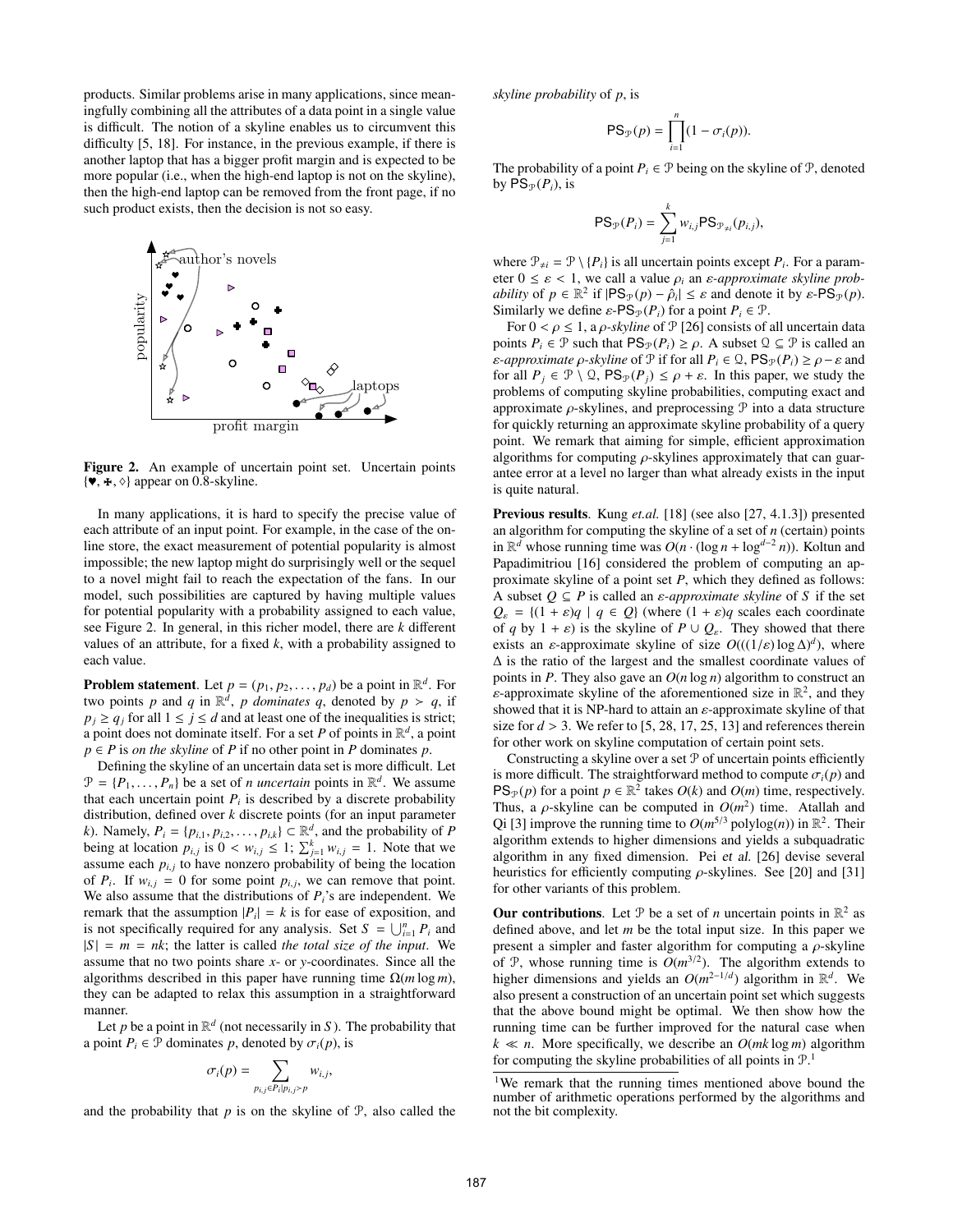products. Similar problems arise in many applications, since meaningfully combining all the attributes of a data point in a single value is difficult. The notion of a skyline enables us to circumvent this difficulty [5, 18]. For instance, in the previous example, if there is another laptop that has a bigger profit margin and is expected to be more popular (i.e., when the high-end laptop is not on the skyline), then the high-end laptop can be removed from the front page, if no such product exists, then the decision is not so easy.



Figure 2. An example of uncertain point set. Uncertain points  $\{\blacktriangledown, \blacktriangleleft, \diamond\}$  appear on 0.8-skyline.

In many applications, it is hard to specify the precise value of each attribute of an input point. For example, in the case of the online store, the exact measurement of potential popularity is almost impossible; the new laptop might do surprisingly well or the sequel to a novel might fail to reach the expectation of the fans. In our model, such possibilities are captured by having multiple values for potential popularity with a probability assigned to each value, see Figure 2. In general, in this richer model, there are *k* different values of an attribute, for a fixed  $k$ , with a probability assigned to each value.

**Problem statement.** Let  $p = (p_1, p_2, \dots, p_d)$  be a point in  $\mathbb{R}^d$ . For two points *p* and *a* in  $\mathbb{R}^d$ , *p dominates a* denoted by  $p > a$  if two points p and q in  $\mathbb{R}^d$ , p dominates q, denoted by  $p > q$ , if  $p_i \ge q_i$  for all  $1 \le j \le d$  and at least one of the inequalities is strict; a point does not dominate itself. For a set *P* of points in  $\mathbb{R}^d$ , a point  $p \in P$  is *on the skyline* of *P* if no other point in *P* dominates *p*.

Defining the skyline of an uncertain data set is more difficult. Let  $\mathcal{P} = \{P_1, \ldots, P_n\}$  be a set of *n uncertain* points in  $\mathbb{R}^d$ . We assume that each uncertain point *P*, is described by a discrete probability that each uncertain point  $P_i$  is described by a discrete probability distribution, defined over *k* discrete points (for an input parameter *k*). Namely,  $P_i = \{p_{i,1}, p_{i,2}, \ldots, p_{i,k}\} \subset \mathbb{R}^d$ , and the probability of *P* being at location  $p_i$ ,  $i \in \{0, \ldots, s-1\} \subset \mathbb{R}^k$ ,  $w_i = 1$ . Note that we being at location  $p_{i,j}$  is  $0 < w_{i,j} \leq 1$ ;  $\sum_{j=1}^{k} w_{i,j} = 1$ . Note that we assume each  $p_i$ , to have nonzero probability of being the location assume each  $p_{i,j}$  to have nonzero probability of being the location<br>of  $P_i$ . If  $y_i = 0$  for some point  $p_i$ , we see nomes that point of  $P_i$ . If  $w_{i,j} = 0$  for some point  $p_{i,j}$ , we can remove that point.<br>We also assume that the distributions of  $P$ 's are independent. We We also assume that the distributions of  $P_i$ 's are independent. We remark that the assumption  $|P_i| = k$  is for ease of exposition, and is not specifically required for any analysis. Set  $S = \bigcup_{i=1}^{n} P_i$  and  $|S| = m = nk$ ; the latter is called *the total size of the input*. We assume that no two points share *x*- or *y*-coordinates. Since all the algorithms described in this paper have running time  $\Omega(m \log m)$ , they can be adapted to relax this assumption in a straightforward manner.

Let *p* be a point in  $\mathbb{R}^d$  (not necessarily in *S*). The probability that a point  $P_i \in \mathcal{P}$  dominates *p*, denoted by  $\sigma_i(p)$ , is

$$
\sigma_i(p) = \sum_{p_{i,j} \in P_i | p_{i,j} > p} w_{i,j},
$$

and the probability that  $p$  is on the skyline of  $P$ , also called the

*skyline probability* of *p*, is

$$
\mathsf{PS}_{\mathcal{P}}(p) = \prod_{i=1}^n (1 - \sigma_i(p)).
$$

The probability of a point  $P_i \in \mathcal{P}$  being on the skyline of  $\mathcal{P}$ , denoted by  $PS_{\mathcal{P}}(P_i)$ , is

$$
\mathsf{PS}_{\mathcal{P}}(P_i) = \sum_{j=1}^k w_{i,j} \mathsf{PS}_{\mathcal{P}_{\neq i}}(p_{i,j}),
$$

where  $\mathcal{P}_{\neq i} = \mathcal{P} \setminus \{P_i\}$  is all uncertain points except  $P_i$ . For a parameter  $0 \leq \varepsilon < 1$ , we call a value  $\rho_i$  an  $\varepsilon$ -*approximate skyline probability* of  $p \in \mathbb{R}^2$  if  $|PS_{\mathcal{P}}(p) - \hat{\rho}_i| \leq \varepsilon$  and denote it by  $\varepsilon$ -PS<sub> $\mathcal{P}(p)$ </sub>.<br>Similarly we define  $\varepsilon$ -PS<sub> $\alpha$ </sub>(*P*.) for a noint  $P_i \in \mathcal{P}$ Similarly we define  $\varepsilon$ -PS<sub>P</sub>(*P<sub>i</sub>*) for a point  $P_i \in \mathcal{P}$ .

For  $0 < \rho \le 1$ , a  $\rho$ -*skyline* of  $\mathcal{P}$  [26] consists of all uncertain data points  $P_i \in \mathcal{P}$  such that  $PS_{\mathcal{P}}(P_i) \ge \rho$ . A subset  $\mathcal{Q} \subseteq \mathcal{P}$  is called an *ε*-*approximate*  $\rho$ -*skyline* of  $P$  if for all  $P_i \in Q$ ,  $PS_{\mathcal{P}}(P_i) \ge \rho - \varepsilon$  and for all  $P_j \in \mathcal{P} \setminus \mathcal{Q}$ ,  $PS_{\mathcal{P}}(P_j) \leq \rho + \varepsilon$ . In this paper, we study the problems of computing skyline probabilities, computing exact and approximate  $\rho$ -skylines, and preprocessing  $P$  into a data structure for quickly returning an approximate skyline probability of a query point. We remark that aiming for simple, efficient approximation algorithms for computing  $\rho$ -skylines approximately that can guarantee error at a level no larger than what already exists in the input is quite natural.

Previous results. Kung et.al. [18] (see also [27, 4.1.3]) presented an algorithm for computing the skyline of a set of *n* (certain) points in  $\mathbb{R}$ <sup>*d*</sup> whose running time was *O*(*n* ⋅ (log *n* + log<sup>*d*-2</sup> *n*)). Koltun and Papadimitriou [16] considered the problem of computing an approximate skyline of a point set *P*, which they defined as follows: A subset  $Q \subseteq P$  is called an *ε*-*approximate skyline* of *S* if the set  $Q_{\varepsilon} = \{(1 + \varepsilon)q \mid q \in Q\}$  (where  $(1 + \varepsilon)q$  scales each coordinate of *q* by  $1 + \varepsilon$ ) is the skyline of  $P \cup Q_{\varepsilon}$ . They showed that there exists an  $\varepsilon$ -approximate skyline of size  $O(((1/\varepsilon) \log \Delta)^d)$ , where  $\Delta$  is the ratio of the largest and the smallest coordinate values of ∆ is the ratio of the largest and the smallest coordinate values of points in *P*. They also gave an *O*(*n* log *n*) algorithm to construct an  $\varepsilon$ -approximate skyline of the aforementioned size in  $\mathbb{R}^2$ , and they showed that it is NP-hard to attain an s-approximate skyline of that showed that it is NP-hard to attain an  $\varepsilon$ -approximate skyline of that size for  $d > 3$ . We refer to  $[5, 28, 17, 25, 13]$  and references therein for other work on skyline computation of certain point sets.

Constructing a skyline over a set  $P$  of uncertain points efficiently is more difficult. The straightforward method to compute  $\sigma_i(p)$  and  $PS_{\mathcal{P}}(p)$  for a point  $p \in \mathbb{R}^2$  takes  $O(k)$  and  $O(m)$  time, respectively. Thus, a *ρ*-skyline can be computed in  $O(m^2)$  time. Atallah and  $O(13)$  improve the running time to  $O(m^{5/3} \text{ poly}(\log(n))$  in  $\mathbb{R}^2$ . Their Qi [3] improve the running time to  $O(m^{5/3} \text{ polylog}(n))$  in  $\mathbb{R}^2$ . Their algorithm extends to higher dimensions and yields a subquadratic algorithm in any fixed dimension. Pei et al. [26] devise several heuristics for efficiently computing  $\rho$ -skylines. See [20] and [31] for other variants of this problem.

Our contributions. Let  $P$  be a set of *n* uncertain points in  $\mathbb{R}^2$  as defined above, and let *m* be the total input size. In this paper we present a simpler and faster algorithm for computing a  $\rho$ -skyline of  $P$ , whose running time is  $O(m^{3/2})$ . The algorithm extends to higher dimensions and yields an  $O(m^{2-1/d})$  algorithm in  $\mathbb{R}^d$ . We also present a construction of an uncertain point set which suggests that the above bound might be optimal. We then show how the running time can be further improved for the natural case when  $k \ll n$ . More specifically, we describe an  $O(mk \log m)$  algorithm for computing the skyline probabilities of all points in  $\mathcal{P}$ .<sup>1</sup>

<sup>1</sup>We remark that the running times mentioned above bound the number of arithmetic operations performed by the algorithms and not the bit complexity.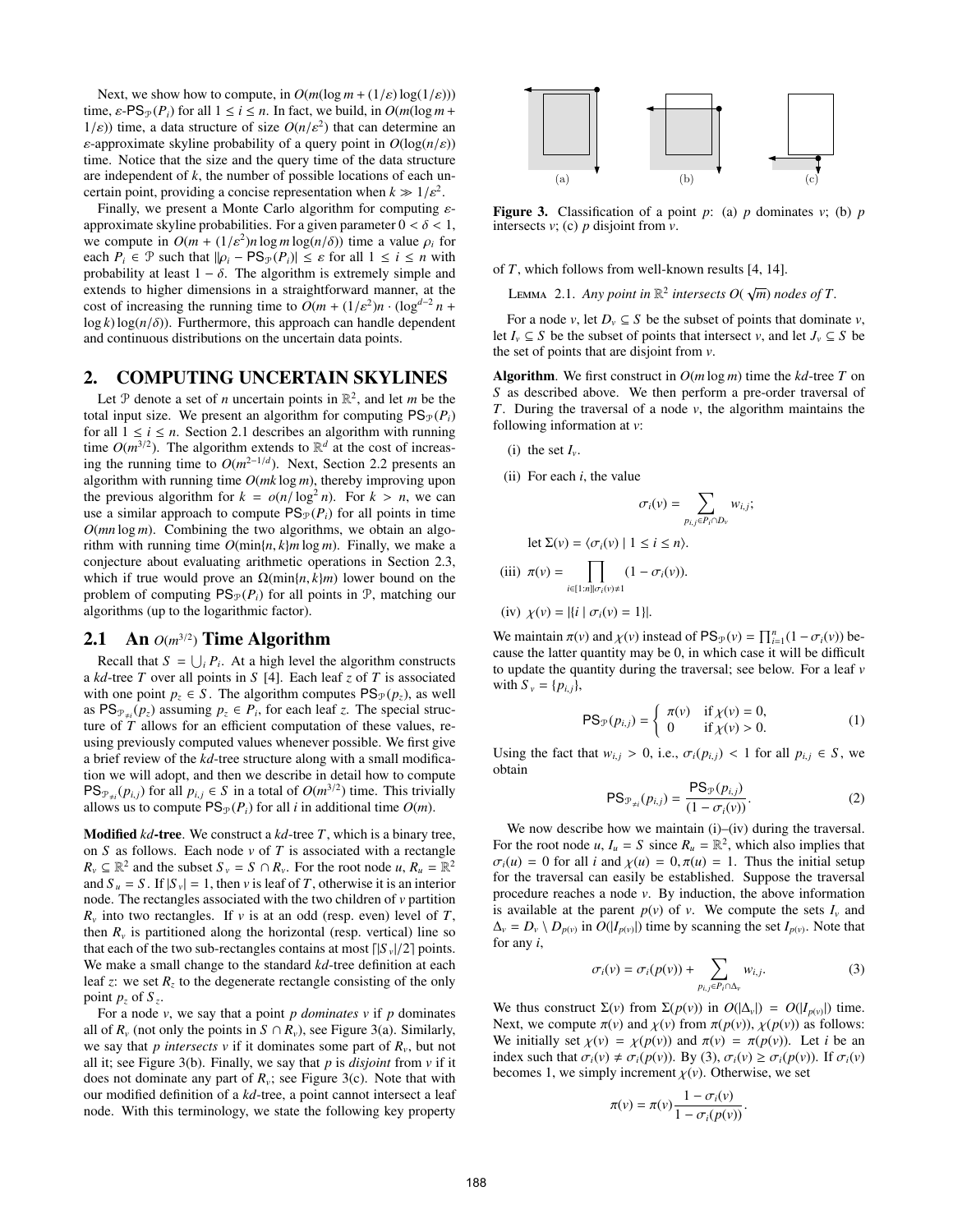Next, we show how to compute, in  $O(m(\log m + (1/\varepsilon) \log(1/\varepsilon)))$ time,  $\varepsilon$ -PS<sub>P</sub>(*P<sub>i</sub>*) for all  $1 \le i \le n$ . In fact, we build, in  $O(m(\log m +$  $1/\varepsilon$ )) time, a data structure of size  $O(n/\varepsilon^2)$  that can determine an e-annoximate skyling probability of a query point in  $O(\log(n/\varepsilon))$ ε-approximate skyline probability of a query point in *<sup>O</sup>*(log(*n*/ε)) time. Notice that the size and the query time of the data structure are independent of *k*, the number of possible locations of each uncertain point, providing a concise representation when  $k \gg 1/\varepsilon^2$ .<br>Finally we present a Monte Carlo algorithm for computing.

Finally, we present a Monte Carlo algorithm for computing  $\varepsilon$ approximate skyline probabilities. For a given parameter  $0 < \delta < 1$ , we compute in  $O(m + (1/\varepsilon^2)n \log m \log(n/\delta))$  time a value  $\rho_i$  for each  $P_i \in \mathcal{P}$  such that  $||\rho_i - \text{PS}_n(P_i)|| \leq \varepsilon$  for all  $1 \leq i \leq n$  with each  $P_i \in \mathcal{P}$  such that  $\|\rho_i - \mathsf{PS}_{\mathcal{P}}(P_i)\| \leq \varepsilon$  for all  $1 \leq i \leq n$  with probability at least  $1 - \delta$ . The algorithm is extremely simple and extends to higher dimensions in a straightforward manner, at the cost of increasing the running time to  $\tilde{O}(m + (1/\varepsilon^2)n \cdot (\log^{d-2} n + \log k) \log(n/\delta))$ . Furthermore, this approach can handle dependent  $\log k$ )  $\log(n/\delta)$ ). Furthermore, this approach can handle dependent and continuous distributions on the uncertain data points.

#### 2. COMPUTING UNCERTAIN SKYLINES

Let  $P$  denote a set of *n* uncertain points in  $\mathbb{R}^2$ , and let *m* be the total input size. We present an algorithm for computing  $PS_{\mathcal{P}}(P_i)$ for all  $1 \le i \le n$ . Section 2.1 describes an algorithm with running time  $O(m^{3/2})$ . The algorithm extends to  $\mathbb{R}^d$  at the cost of increasing the running time to  $O(m^{2-1/d})$ . Next, Section 2.2 presents an algorithm with running time *O*(*mk* log *m*), thereby improving upon the previous algorithm for  $k = o(n/\log^2 n)$ . For  $k > n$ , we can use a similar approach to compute  $PS_n(P_1)$  for all points in time use a similar approach to compute  $PS_{\mathcal{P}}(P_i)$  for all points in time  $O(mn \log m)$ . Combining the two algorithms, we obtain an algorithm with running time  $O(\min\{n, k\}m \log m)$ . Finally, we make a conjecture about evaluating arithmetic operations in Section 2.3, which if true would prove an  $\Omega(\min\{n, k\}m)$  lower bound on the problem of computing  $PS_{\mathcal{P}}(P_i)$  for all points in  $\mathcal{P}$ , matching our algorithms (up to the logarithmic factor).

## 2.1 An  $O(m^{3/2})$  Time Algorithm

Recall that  $S = \bigcup_i P_i$ . At a high level the algorithm constructs a *kd*-tree *T* over all points in *S* [4]. Each leaf *z* of *T* is associated with one point  $p_z \in S$ . The algorithm computes  $PS_{\mathcal{P}}(p_z)$ , as well as  $PS_{\mathcal{P}_{\neq i}}(p_z)$  assuming  $p_z \in P_i$ , for each leaf *z*. The special structure of *T* allows for an efficient computation of these values, reusing previously computed values whenever possible. We first give a brief review of the *kd*-tree structure along with a small modification we will adopt, and then we describe in detail how to compute  $PS_{\mathcal{P}_{\neq i}}(p_{i,j})$  for all  $p_{i,j} \in S$  in a total of  $O(m^{3/2})$  time. This trivially player as to compute  $DS_{\neq i}(P)$  for all *i* in additional time  $O(m)$ allows us to compute  $PS_{\mathcal{P}}(P_i)$  for all *i* in additional time  $O(m)$ .

Modified *kd*-tree. We construct a *kd*-tree *T*, which is a binary tree, on *S* as follows. Each node  $\nu$  of *T* is associated with a rectangle  $R_v \subseteq \mathbb{R}^2$  and the subset  $S_v = S \cap R_v$ . For the root node  $u, R_u = \mathbb{R}^2$ and  $S_u = S$ . If  $|S_v| = 1$ , then *v* is leaf of *T*, otherwise it is an interior node. The rectangles associated with the two children of *v* partition  $R_v$  into two rectangles. If *v* is at an odd (resp. even) level of *T*, then  $R<sub>v</sub>$  is partitioned along the horizontal (resp. vertical) line so that each of the two sub-rectangles contains at most  $\frac{|S_v|}{2}$  points.<br>We make a small change to the standard *kd*-tree definition at each We make a small change to the standard *kd*-tree definition at each leaf *z*: we set  $R_z$  to the degenerate rectangle consisting of the only point  $p_z$  of  $S_z$ .

For a node *v*, we say that a point *p dominates v* if *p* dominates all of  $R_v$  (not only the points in  $S \cap R_v$ ), see Figure 3(a). Similarly, we say that *p intersects*  $v$  if it dominates some part of  $R_v$ , but not all it; see Figure 3(b). Finally, we say that *p* is *disjoint* from *v* if it does not dominate any part of  $R_v$ ; see Figure 3(c). Note that with our modified definition of a *kd*-tree, a point cannot intersect a leaf node. With this terminology, we state the following key property



Figure 3. Classification of a point  $p$ : (a)  $p$  dominates  $v$ ; (b)  $p$ intersects *v*; (c) *p* disjoint from *v*.

of *T*, which follows from well-known results [4, 14].

LEMMA 2.1. Any point in  $\mathbb{R}^2$  intersects  $O(\sqrt{m})$  nodes of T.

For a node *v*, let  $D_v \subseteq S$  be the subset of points that dominate *v*, let  $I_v \subseteq S$  be the subset of points that intersect *v*, and let  $J_v \subseteq S$  be the set of points that are disjoint from *v*.

Algorithm. We first construct in  $O(m \log m)$  time the *kd*-tree *T* on *S* as described above. We then perform a pre-order traversal of *T*. During the traversal of a node *v*, the algorithm maintains the following information at *v*:

- (i) the set  $I_v$ .
- (ii) For each  $i$ , the value

$$
\sigma_i(v) = \sum_{p_{i,j} \in P_i \cap D_v} w_{i,j};
$$
  
let  $\Sigma(v) = \langle \sigma_i(v) | 1 \le i \le n \rangle$ .  
(iii)  $\pi(v) = \prod_{i \in [1:n] | \sigma_i(v) \ne 1} (1 - \sigma_i(v)).$ 

(iv)  $\chi(v) = |\{i \mid \sigma_i(v) = 1\}|.$ 

We maintain  $\pi(v)$  and  $\chi(v)$  instead of  $PS_{\mathcal{P}}(v) = \prod_{i=1}^{n} (1 - \sigma_i(v))$  be-<br>cause the latter quantity may be 0 in which case it will be difficult cause the latter quantity may be 0, in which case it will be difficult to update the quantity during the traversal; see below. For a leaf *v* with  $S_v = \{p_{i,j}\},\$ 

$$
\mathsf{PS}_{\mathcal{P}}(p_{i,j}) = \begin{cases} \pi(v) & \text{if } \chi(v) = 0, \\ 0 & \text{if } \chi(v) > 0. \end{cases}
$$
 (1)

Using the fact that  $w_{i,j} > 0$ , i.e.,  $\sigma_i(p_{i,j}) < 1$  for all  $p_{i,j} \in S$ , we obtain

$$
PS_{\mathcal{P}_{\neq i}}(p_{i,j}) = \frac{PS_{\mathcal{P}}(p_{i,j})}{(1 - \sigma_i(v))}.
$$
 (2)

We now describe how we maintain (i)–(iv) during the traversal. For the root node *u*,  $I_u = S$  since  $R_u = \mathbb{R}^2$ , which also implies that  $\sigma_i(u) = 0$  for all *i* and  $\chi(u) = 0, \pi(u) = 1$ . Thus the initial setup for the traversal can easily be established. Suppose the traversal procedure reaches a node *v*. By induction, the above information is available at the parent  $p(v)$  of *v*. We compute the sets  $I_v$  and  $\Delta$ <sup>*v*</sup> = *D*<sup>*v*</sup> \ *D*<sub>*p*(*v*)</sub> in *O*(|*I*<sub>*p*(*v*)</sub>|) time by scanning the set *I*<sub>*p*(*v*)</sub>. Note that for any *i*,

$$
\sigma_i(v) = \sigma_i(p(v)) + \sum_{p_{i,j} \in P_i \cap \Delta_v} w_{i,j}.
$$
 (3)

We thus construct  $\Sigma(v)$  from  $\Sigma(p(v))$  in  $O(|\Delta_v|) = O(|I_{p(v)}|)$  time. Next, we compute  $\pi(v)$  and  $\chi(v)$  from  $\pi(p(v))$ ,  $\chi(p(v))$  as follows: We initially set  $\chi(v) = \chi(p(v))$  and  $\pi(v) = \pi(p(v))$ . Let *i* be an index such that  $\sigma_i(v) \neq \sigma_i(p(v))$ . By (3),  $\sigma_i(v) \geq \sigma_i(p(v))$ . If  $\sigma_i(v)$ becomes 1, we simply increment  $\chi(v)$ . Otherwise, we set

$$
\pi(v) = \pi(v) \frac{1 - \sigma_i(v)}{1 - \sigma_i(p(v))}
$$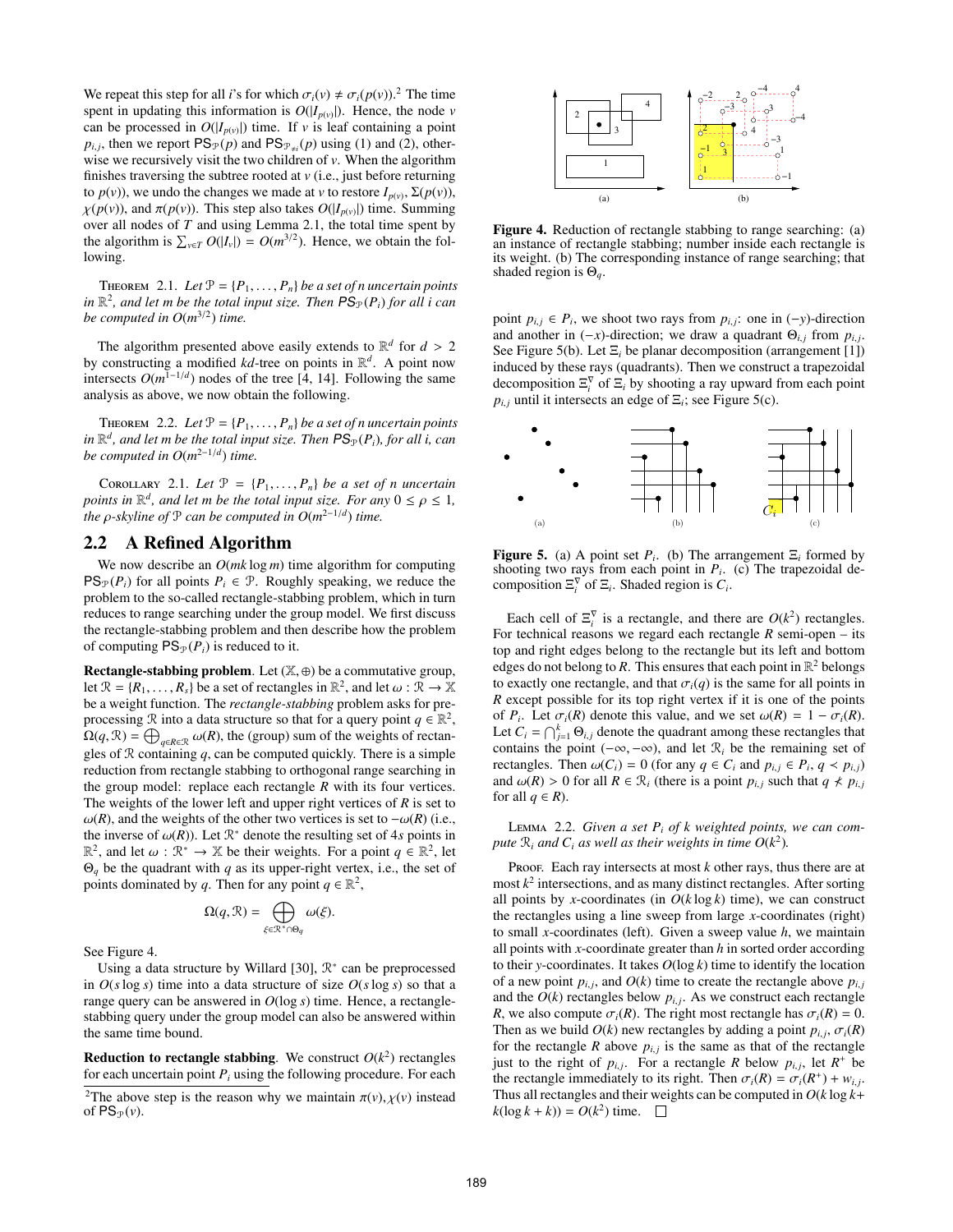We repeat this step for all *i*'s for which  $\sigma_i(v) \neq \sigma_i(p(v))$ .<sup>2</sup> The time spent in updating this information is  $O(|I_{p(v)}|)$ . Hence, the node *v* can be processed in  $O(|I_{p(v)}|)$  time. If *v* is leaf containing a point  $p_{i,j}$ , then we report  $PS_{\mathcal{P}}(p)$  and  $PS_{\mathcal{P}_{\neq i}}(p)$  using (1) and (2), other-<br>vice we requestedly visit the two objection of u. When the electric wise we recursively visit the two children of *v*. When the algorithm finishes traversing the subtree rooted at *v* (i.e., just before returning to  $p(v)$ ), we undo the changes we made at *v* to restore  $I_{p(v)}$ ,  $\Sigma(p(v))$ ,  $\chi(p(v))$ , and  $\pi(p(v))$ . This step also takes  $O(|I_{p(v)}|)$  time. Summing over all nodes of T and using I emma 2.1, the total time spent by over all nodes of *T* and using Lemma 2.1, the total time spent by the algorithm is  $\sum_{v \in T} O(|I_v|) = O(m^{3/2})$ . Hence, we obtain the following.

THEOREM 2.1. Let  $\mathcal{P} = \{P_1, \ldots, P_n\}$  be a set of n uncertain points  $\mathbb{R}^2$ , and let m be the total input size. Then  $\mathsf{PS}_{\mathcal{P}}(P_i)$  for all i can *be computed in O*(*m* 3/2 ) *time.*

The algorithm presented above easily extends to  $\mathbb{R}^d$  for  $d > 2$ <br>constructing a modified *kd*-tree on points in  $\mathbb{R}^d$  A point now by constructing a modified  $kd$ -tree on points in  $\mathbb{R}^d$ . A point now intersects  $O(m^{1-1/d})$  nodes of the tree [4, 14]. Following the same analysis as above, we now obtain the following.

THEOREM 2.2. Let  $\mathcal{P} = \{P_1, \ldots, P_n\}$  *be a set of n uncertain points*  $i$ n  $\mathbb{R}^d$ *, and let m be the total input size. Then*  $PS_{\mathcal{P}}(P_i)$ *, for all i, can be computed in O*( $m$ <sup>2−1/*d*</sup>) *time.* 

COROLLARY 2.1. Let  $\mathcal{P} = \{P_1, \ldots, P_n\}$  be a set of n uncertain *points in*  $\mathbb{R}^d$ *, and let m be the total input size. For any*  $0 \le \rho \le 1$ *, the o-skyline of*  $P$  *can be computed in*  $O(m^{2-1/d})$  *time the*  $\rho$ -skyline of  $P$  *can be computed in*  $O(m^{2-1/d})$  *time.* 

## 2.2 A Refined Algorithm

We now describe an *O*(*mk* log *m*) time algorithm for computing  $PS_{\mathcal{P}}(P_i)$  for all points  $P_i \in \mathcal{P}$ . Roughly speaking, we reduce the problem to the so-called rectangle-stabbing problem, which in turn reduces to range searching under the group model. We first discuss the rectangle-stabbing problem and then describe how the problem of computing  $PS_{\mathcal{P}}(P_i)$  is reduced to it.

Rectangle-stabbing problem. Let  $(\mathbb{X}, \oplus)$  be a commutative group, let  $\mathcal{R} = \{R_1, \ldots, R_s\}$  be a set of rectangles in  $\mathbb{R}^2$ , and let  $\omega : \mathcal{R} \to \mathbb{X}$ <br>be a weight function. The *rectangle-stabbing* problem asks for prebe a weight function. The *rectangle-stabbing* problem asks for preprocessing R into a data structure so that for a query point  $q \in \mathbb{R}^2$ ,  $\Omega(q, \mathcal{R}) = \bigoplus_{q \in \mathbb{R} \in \mathbb{R}} \omega(R)$ , the (group) sum of the weights of rectan-<br>glas of  $\mathcal{R}$  containing a can be computed quickly. There is a simple gles of R containing *q*, can be computed quickly. There is a simple reduction from rectangle stabbing to orthogonal range searching in the group model: replace each rectangle *R* with its four vertices. The weights of the lower left and upper right vertices of *R* is set to  $ω(R)$ , and the weights of the other two vertices is set to  $-ω(R)$  (i.e., the inverse of  $\omega(R)$ ). Let  $\mathbb{R}^*$  denote the resulting set of 4*s* points in  $\mathbb{R}^2$ , and let ω :  $\mathbb{R}^*$  → X be their weights. For a point *q* ∈  $\mathbb{R}^2$ , let **ω** be the quadrant with *q* as its upper-right vertex i.e., the set of  $\Theta_q$  be the quadrant with *q* as its upper-right vertex, i.e., the set of points dominated by *q*. Then for any point  $q \in \mathbb{R}^2$ ,

$$
\Omega(q,\mathcal{R})=\bigoplus_{\xi\in\mathcal{R}^*\cap\Theta_q}\omega(\xi).
$$

See Figure 4.

Using a data structure by Willard [30],  $\mathcal{R}^*$  can be preprocessed in  $O(s \log s)$  time into a data structure of size  $O(s \log s)$  so that a range query can be answered in *O*(log *s*) time. Hence, a rectanglestabbing query under the group model can also be answered within the same time bound.

**Reduction to rectangle stabbing.** We construct  $O(k^2)$  rectangles for each uncertain point  $P_i$  using the following procedure. For each



Figure 4. Reduction of rectangle stabbing to range searching: (a) an instance of rectangle stabbing; number inside each rectangle is its weight. (b) The corresponding instance of range searching; that shaded region is Θ*q*.

point  $p_{i,j} \in P_i$ , we shoot two rays from  $p_{i,j}$ ; one in (−*y*)-direction<br>and another in (−*y*) direction, we draw a supplement  $\Omega$ , from a and another in  $(-x)$ -direction; we draw a quadrant  $\Theta_{i,j}$  from  $p_{i,j}$ .<br>See Figure 5(b), Let  $\overline{P}$ , be planed decomposition (organization 11). See Figure 5(b). Let Ξ*<sup>i</sup>* be planar decomposition (arrangement [1]) induced by these rays (quadrants). Then we construct a trapezoidal decomposition  $\Xi_i^{\nabla}$  of  $\Xi_i$  by shooting a ray upward from each point  $p_{i,j}$  until it intersects an edge of  $\Xi_i$ ; see Figure 5(c).



**Figure 5.** (a) A point set  $P_i$ . (b) The arrangement  $\Xi_i$  formed by shooting two rays from each point in  $P_i$ . (c) The trapezoidal decomposition  $\Xi_i^{\nabla}$  of  $\Xi_i$ . Shaded region is  $C_i$ .

Each cell of  $\Xi_i^{\nabla}$  is a rectangle, and there are  $O(k^2)$  rectangles. For technical reasons we regard each rectangle *R* semi-open – its top and right edges belong to the rectangle but its left and bottom edges do not belong to *R*. This ensures that each point in  $\mathbb{R}^2$  belongs to exactly one rectangle, and that  $\sigma_i(q)$  is the same for all points in *R* except possible for its top right vertex if it is one of the points of  $P_i$ . Let  $\sigma_i(R)$  denote this value, and we set  $\omega(R) = 1 - \sigma_i(R)$ .<br>Let  $C_i - \bigcap_{k=1}^{k} Q_i$  denote the quadrant among these rectangles that Let  $C_i = \bigcap_{i=1}^k \Theta_{i,j}$  denote the quadrant among these rectangles that contains the point  $\bigcap_{i=1}^k \Theta_{i,j}$  and let  $\mathcal{P}_k$  be the remaining set of contains the point  $(-\infty, -\infty)$ , and let  $\mathcal{R}_i$  be the remaining set of rectangles. Then  $\omega(C_i) = 0$  (for any  $q \in C_i$  and  $p_{i,j} \in P_i$ ,  $q \lt p_{i,j}$ )<br>and  $\omega(R) > 0$  for all  $R \in \mathbb{R}$ . (there is a point  $p_i$ , such that  $q \neq p_i$ .) and  $\omega(R) > 0$  for all  $R \in \mathcal{R}_i$  (there is a point  $p_{i,j}$  such that  $q \nless p_{i,j}$ for all  $q \in R$ ).

LEMMA 2.2. *Given a set P<sub>i</sub> of k weighted points, we can compute*  $\mathcal{R}_i$  *and*  $C_i$  *as well as their weights in time*  $O(k^2)$ *.* 

**PROOF.** Each ray intersects at most  $k$  other rays, thus there are at most  $k<sup>2</sup>$  intersections, and as many distinct rectangles. After sorting all points by *x*-coordinates (in  $O(k \log k)$  time), we can construct the rectangles using a line sweep from large *x*-coordinates (right) to small *x*-coordinates (left). Given a sweep value *h*, we maintain all points with *x*-coordinate greater than *h* in sorted order according to their *y*-coordinates. It takes  $O(\log k)$  time to identify the location of a new point  $p_{i,j}$ , and  $O(k)$  time to create the rectangle above  $p_{i,j}$ and the  $O(k)$  rectangles below  $p_{i,j}$ . As we construct each rectangle  $P$ , we also compute  $\pi(P)$ . The right meet rectangle has  $\pi(P) = 0$ . *R*, we also compute  $\sigma_i(R)$ . The right most rectangle has  $\sigma_i(R) = 0$ . Then as we build  $O(k)$  new rectangles by adding a point  $p_{i,j}, \sigma_i(R)$  for the rectangle R above  $p_i$ , is the same as that of the rectangle for the rectangle *R* above  $p_{i,j}$  is the same as that of the rectangle<br>inst to the right of  $r_{\text{max}}$  as restangle *R* helow  $r_{\text{max}}$  let  $P_t^+$  be just to the right of  $p_{i,j}$ . For a rectangle *R* below  $p_{i,j}$ , let  $R^+$  be<br>the geotenrals immediately to its gight. Then  $\pi(P) = \pi(P^+) + \pi$ the rectangle immediately to its right. Then  $\sigma_i(R) = \sigma_i(R^+) + w_{i,j}$ .<br>Thus all rectangles and their weights can be computed in  $O(k \log k + \epsilon)$ . Thus all rectangles and their weights can be computed in *O*(*k* log *k*+  $k(\log k + k) = O(k^2)$  time.

<sup>&</sup>lt;sup>2</sup>The above step is the reason why we maintain  $\pi(v)$ ,  $\chi(v)$  instead of  $PS_{\mathcal{P}}(v)$ .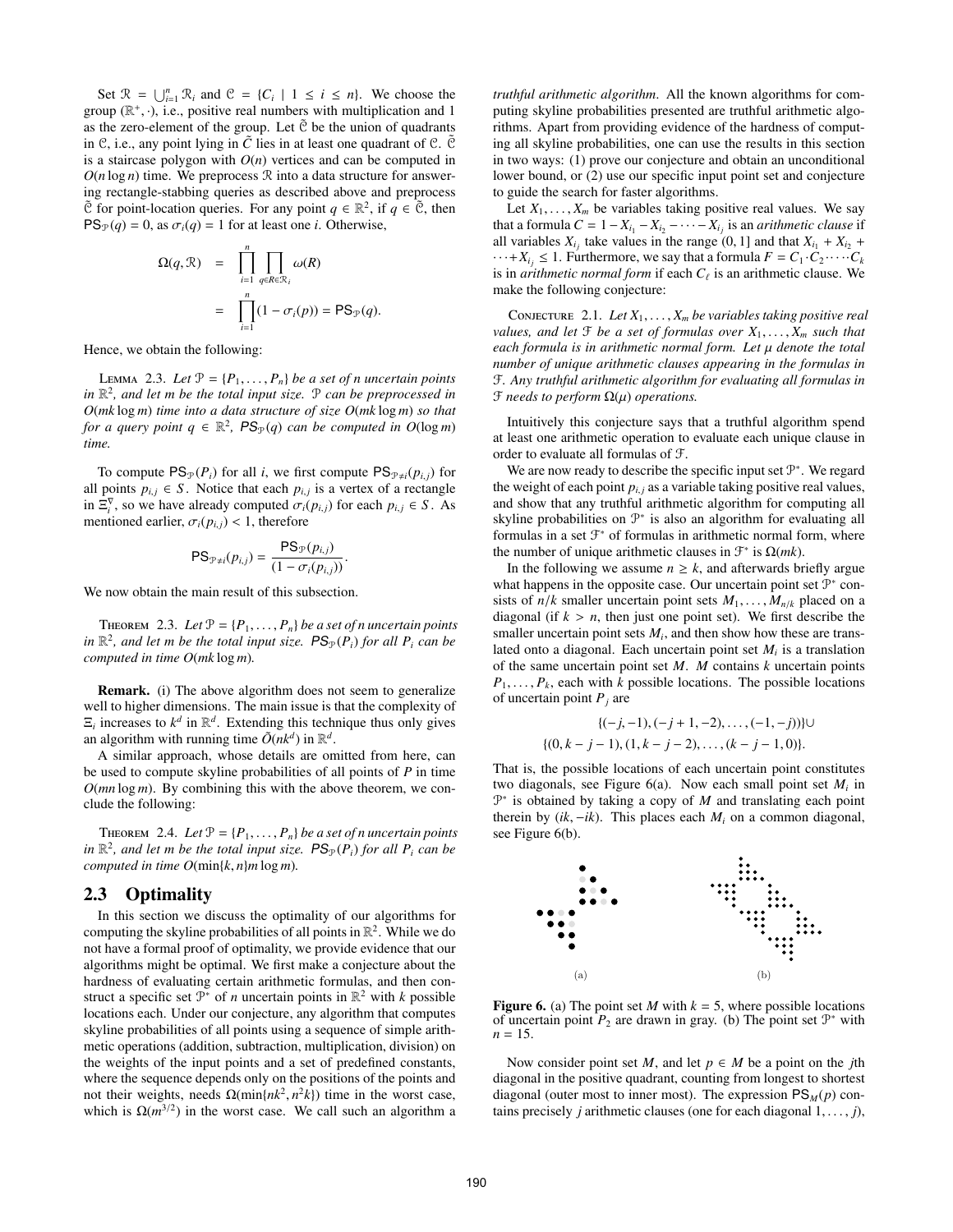Set  $\mathcal{R} = \bigcup_{i=1}^n \mathcal{R}_i$  and  $\mathcal{C} = \{C_i \mid 1 \le i \le n\}$ . We choose the group ( $\mathbb{R}^+$ , ·), i.e., positive real numbers with multiplication and 1 as the zero-element of the group. Let  $\tilde{e}$  be the union of quadrants as the zero-element of the group. Let  $\tilde{C}$  be the union of quadrants in C, i.e., any point lying in  $\tilde{C}$  lies in at least one quadrant of C.  $\tilde{C}$ is a staircase polygon with  $O(n)$  vertices and can be computed in  $O(n \log n)$  time. We preprocess R into a data structure for answering rectangle-stabbing queries as described above and preprocess  $\tilde{C}$  for point-location queries. For any point  $q \in \mathbb{R}^2$ , if  $q \in \tilde{C}$ , then  $PS_{\mathcal{P}}(q) = 0$ , as  $\sigma_i(q) = 1$  for at least one *i*. Otherwise,

$$
\Omega(q, \mathcal{R}) = \prod_{i=1}^{n} \prod_{q \in R \in \mathcal{R}_i} \omega(R)
$$
  
= 
$$
\prod_{i=1}^{n} (1 - \sigma_i(p)) = \text{PS}_{\mathcal{P}}(q).
$$

Hence, we obtain the following:

LEMMA 2.3. Let  $\mathcal{P} = \{P_1, \ldots, P_n\}$  be a set of n uncertain points *in* R 2 *, and let m be the total input size.* P *can be preprocessed in O*(*mk* log *m*) *time into a data structure of size O*(*mk* log *m*) *so that for a query point*  $q \in \mathbb{R}^2$ *,*  $PS_p(q)$  *can be computed in*  $O(\log m)$ *time.*

To compute  $PS_{\mathcal{P}}(P_i)$  for all *i*, we first compute  $PS_{\mathcal{P} \neq i}(p_{i,j})$  for all points  $p_{i,j} \in S$ . Notice that each  $p_{i,j}$  is a vertex of a rectangle<br>in  $\overline{S}^{\nabla}$  as via have already commuted  $\pi$  (n) for each  $\pi \in S$ . As in  $\Xi_i^{\nabla}$ , so we have already computed  $\sigma_i(p_{i,j})$  for each  $p_{i,j} \in S$ . As mentioned earlier  $\sigma_i(p_i) \leq 1$  therefore mentioned earlier,  $\sigma_i(p_{i,j})$  < 1, therefore

$$
\mathsf{PS}_{\mathcal{P}\neq i}(p_{i,j}) = \frac{\mathsf{PS}_{\mathcal{P}}(p_{i,j})}{(1 - \sigma_i(p_{i,j}))}
$$

We now obtain the main result of this subsection.

THEOREM 2.3. Let  $\mathcal{P} = \{P_1, \ldots, P_n\}$  *be a set of n uncertain points*  $\mathbb{R}^2$ , and let m be the total input size.  $PS_{\mathcal{P}}(P_i)$  for all  $P_i$  can be *computed in time O*(*mk* log *m*)*.*

Remark. (i) The above algorithm does not seem to generalize well to higher dimensions. The main issue is that the complexity of  $\Xi_i$  increases to  $k^d$  in  $\mathbb{R}^d$ . Extending this technique thus only gives an algorithm with running time  $\tilde{O}(nk^d)$  in  $\mathbb{R}^d$ .

A similar approach, whose details are omitted from here, can be used to compute skyline probabilities of all points of *P* in time  $O(mn \log m)$ . By combining this with the above theorem, we conclude the following:

**THEOREM** 2.4. Let  $\mathcal{P} = \{P_1, \ldots, P_n\}$  be a set of n uncertain points  $\mathbb{R}^2$ , and let m be the total input size.  $PS_{\mathcal{P}}(P_i)$  for all  $P_i$  can be *computed in time*  $O(\min\{k, n\}m \log m)$ *.* 

#### 2.3 Optimality

In this section we discuss the optimality of our algorithms for computing the skyline probabilities of all points in  $\mathbb{R}^2$ . While we do not have a formal proof of optimality, we provide evidence that our algorithms might be optimal. We first make a conjecture about the hardness of evaluating certain arithmetic formulas, and then construct a specific set  $\mathcal{P}^*$  of *n* uncertain points in  $\mathbb{R}^2$  with *k* possible locations each. Under our conjecture, any algorithm that computes skyline probabilities of all points using a sequence of simple arithmetic operations (addition, subtraction, multiplication, division) on the weights of the input points and a set of predefined constants, where the sequence depends only on the positions of the points and not their weights, needs  $\Omega(\min\{nk^2, n^2k\})$  time in the worst case,<br>which is  $\Omega(m^{3/2})$  in the worst case. We call such an algorithm a which is  $\Omega(m^{3/2})$  in the worst case. We call such an algorithm a

*truthful arithmetic algorithm*. All the known algorithms for computing skyline probabilities presented are truthful arithmetic algorithms. Apart from providing evidence of the hardness of computing all skyline probabilities, one can use the results in this section in two ways: (1) prove our conjecture and obtain an unconditional lower bound, or (2) use our specific input point set and conjecture to guide the search for faster algorithms.

Let  $X_1, \ldots, X_m$  be variables taking positive real values. We say that a formula  $C = 1 - X_{i_1} - X_{i_2} - \cdots - X_{i_j}$  is an *arithmetic clause* if all variables  $X_{i_j}$  take values in the range  $(0, 1]$  and that  $X_{i_1} + X_{i_2} + \cdots + X_{i_n} \le 1$ . Furthermore, we say that a formula  $F = C_{i,j}, C_{i,j} \ldots, C_{i_n}$  $\cdots + X_i \leq 1$ . Furthermore, we say that a formula  $F = C_1 \cdot C_2 \cdots \cdot C_k$ is in *arithmetic normal form* if each  $C_{\ell}$  is an arithmetic clause. We make the following conjecture:

CONJECTURE 2.1. Let  $X_1, \ldots, X_m$  be variables taking positive real *values, and let*  $\mathcal{F}$  *be a set of formulas over*  $X_1, \ldots, X_m$  *such that each formula is in arithmetic normal form. Let* µ *denote the total number of unique arithmetic clauses appearing in the formulas in* F*. Any truthful arithmetic algorithm for evaluating all formulas in*  $\mathcal F$  *needs to perform*  $\Omega(\mu)$  *operations.* 

Intuitively this conjecture says that a truthful algorithm spend at least one arithmetic operation to evaluate each unique clause in order to evaluate all formulas of F.

We are now ready to describe the specific input set  $\mathcal{P}^*$ . We regard the weight of each point  $p_{i,j}$  as a variable taking positive real values, and show that any truthful arithmetic algorithm for computing all skyline probabilities on  $\mathcal{P}^*$  is also an algorithm for evaluating all formulas in a set  $\mathfrak{F}^*$  of formulas in arithmetic normal form, where the number of unique arithmetic clauses in  $\mathcal{F}^*$  is  $\Omega(mk)$ .

In the following we assume  $n \geq k$ , and afterwards briefly argue what happens in the opposite case. Our uncertain point set  $\mathcal{P}^*$  consists of  $n/k$  smaller uncertain point sets  $M_1, \ldots, M_{n/k}$  placed on a diagonal (if  $k > n$ , then just one point set). We first describe the smaller uncertain point sets  $M_i$ , and then show how these are translated onto a diagonal. Each uncertain point set *M<sup>i</sup>* is a translation of the same uncertain point set *M*. *M* contains *k* uncertain points  $P_1, \ldots, P_k$ , each with *k* possible locations. The possible locations of uncertain point  $P_1$  are of uncertain point *P<sup>j</sup>* are

$$
\{(-j,-1), (-j+1,-2), \dots, (-1,-j)\}\cup
$$
  

$$
\{(0,k-j-1), (1,k-j-2), \dots, (k-j-1,0)\}.
$$

That is, the possible locations of each uncertain point constitutes two diagonals, see Figure 6(a). Now each small point set *M<sup>i</sup>* in P ∗ is obtained by taking a copy of *M* and translating each point therein by  $(ik, -ik)$ . This places each  $M_i$  on a common diagonal, see Figure 6(b).



**Figure 6.** (a) The point set *M* with  $k = 5$ , where possible locations of uncertain point  $P_2$  are drawn in gray. (b) The point set  $\mathcal{P}^*$  with  $n = 15$ .

Now consider point set *M*, and let  $p \in M$  be a point on the *j*th diagonal in the positive quadrant, counting from longest to shortest diagonal (outer most to inner most). The expression  $PS_M(p)$  contains precisely *j* arithmetic clauses (one for each diagonal  $1, \ldots, j$ ),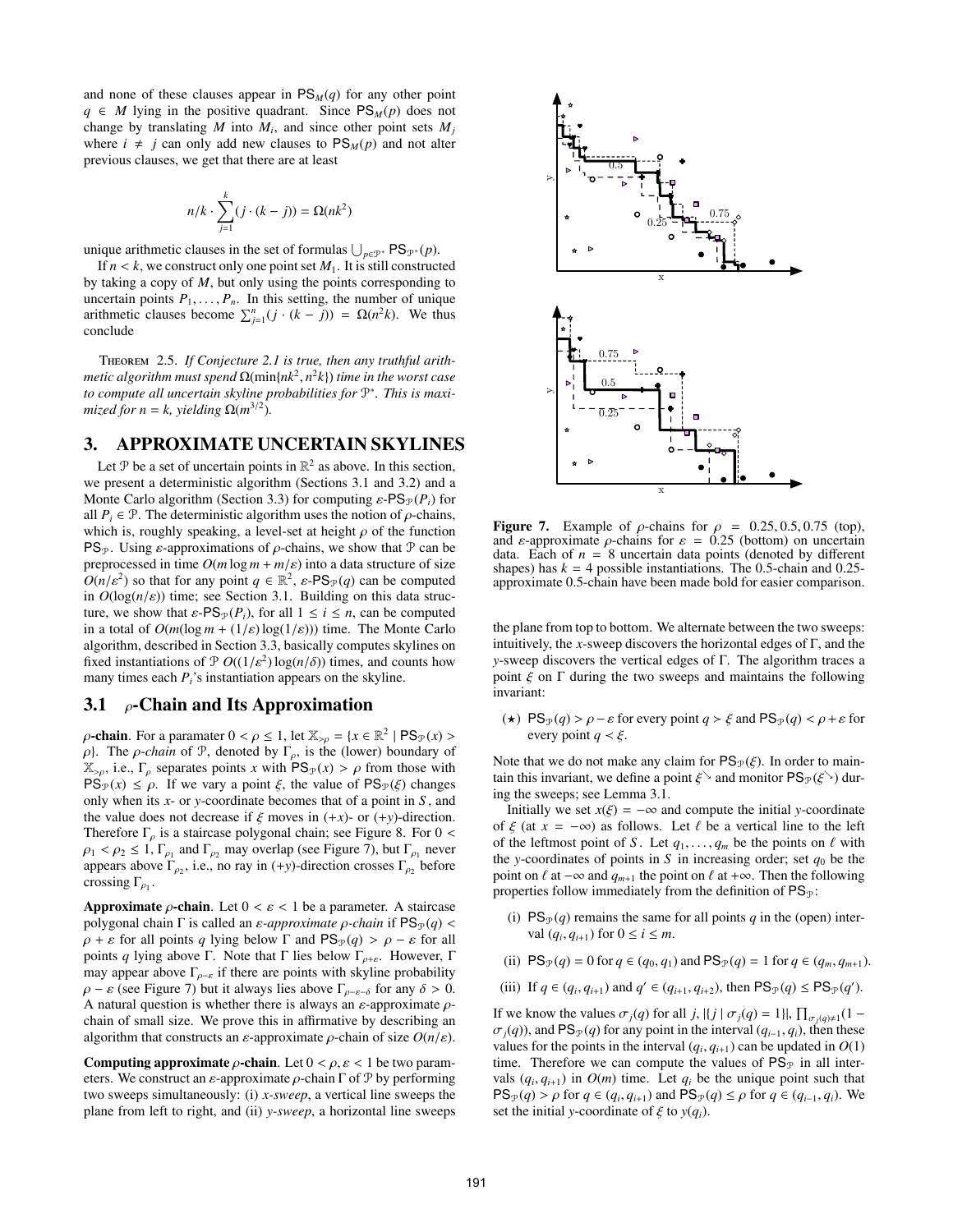and none of these clauses appear in  $PS_M(q)$  for any other point *q* ∈ *M* lying in the positive quadrant. Since  $PS_M(p)$  does not change by translating  $M$  into  $M_i$ , and since other point sets  $M_j$ where  $i \neq j$  can only add new clauses to  $PS_M(p)$  and not alter previous clauses, we get that there are at least

$$
n/k \cdot \sum_{j=1}^{k} (j \cdot (k-j)) = \Omega(nk^2)
$$

unique arithmetic clauses in the set of formulas  $\bigcup_{p \in \mathcal{P}^*} \mathsf{PS}_{\mathcal{P}^*}(p)$ .

If  $n < k$ , we construct only one point set  $M_1$ . It is still constructed by taking a copy of *M*, but only using the points corresponding to uncertain points  $P_1, \ldots, P_n$ . In this setting, the number of unique arithmetic clauses become  $\sum_{j=1}^{n} (j \cdot (k - j)) = \Omega(n^2 k)$ . We thus conclude

THEOREM 2.5. If Conjecture 2.1 is true, then any truthful arith*metic algorithm must spend* Ω(min{*nk*<sup>2</sup>, *n*<sup>2</sup>*k*}) *time in the worst case*<br>*to compute all uncertain skyline probabilities for*  $P^*$ . This is maxi*to compute all uncertain skyline probabilities for* P ∗ *. This is maximized for*  $n = k$ , yielding  $\Omega(m^{3/2})$ .

## 3. APPROXIMATE UNCERTAIN SKYLINES

Let  $P$  be a set of uncertain points in  $\mathbb{R}^2$  as above. In this section, we present a deterministic algorithm (Sections 3.1 and 3.2) and a Monte Carlo algorithm (Section 3.3) for computing  $\varepsilon$ -PS<sub>P</sub>(*P<sub>i</sub>*) for all  $P_i \in \mathcal{P}$ . The deterministic algorithm uses the notion of  $\rho$ -chains, which is, roughly speaking, a level-set at height  $\rho$  of the function PS<sub>P</sub>. Using  $\varepsilon$ -approximations of  $\rho$ -chains, we show that P can be preprocessed in time  $O(m \log m + m/\varepsilon)$  into a data structure of size  $O(n/\varepsilon^2)$  so that for any point  $q \in \mathbb{R}^2$ ,  $\varepsilon$ -PS<sub>P</sub>(*q*) can be computed<br>in  $O(\log(n/\varepsilon))$  time: see Section 3.1. Building on this data strucin  $O(\log(n/\varepsilon))$  time; see Section 3.1. Building on this data structure, we show that  $\varepsilon$ -PS<sub>P</sub>(*P<sub>i</sub>*), for all  $1 \le i \le n$ , can be computed in a total of  $O(m(\log m + (1/\varepsilon) \log(1/\varepsilon)))$  time. The Monte Carlo algorithm, described in Section 3.3, basically computes skylines on fixed instantiations of  $\mathcal{P}O((1/\varepsilon^2) \log(n/\delta))$  times, and counts how many times each *P*.'s instantiation appears on the skyline many times each  $P_i$ 's instantiation appears on the skyline.

#### 3.1  $\rho$ -Chain and Its Approximation

*ρ*-chain. For a paramater 0 < *ρ* ≤ 1, let  $\mathbb{X}_{>ρ} = \{x \in \mathbb{R}^2 \mid \text{PS}_{\mathcal{P}}(x) >$ <br>  $\Omega$ . The *o-chain* of  $\mathcal{P}$  denoted by  $\Gamma$  is the (lower) boundary of ρ}. The *ρ-chain* of *P*, denoted by  $\Gamma$ <sub>*ρ*</sub>, is the (lower) boundary of  $\mathbb{X}_{\geq\rho}$ , i.e.,  $\Gamma_{\rho}$  separates points *x* with  $PS_{\mathcal{P}}(x) > \rho$  from those with  $PS_{\mathcal{P}}(x) < \rho$ . If we vary a point  $\epsilon$  the value of  $PS_{\mathcal{P}}(\epsilon)$  changes  $PS_{\mathcal{P}}(x) \leq \rho$ . If we vary a point  $\xi$ , the value of  $PS_{\mathcal{P}}(\xi)$  changes only when its *x*- or *y*-coordinate becomes that of a point in *S* , and the value does not decrease if  $\xi$  moves in  $(+x)$ - or  $(+y)$ -direction. Therefore  $\Gamma$ <sub>ρ</sub> is a staircase polygonal chain; see Figure 8. For 0 <  $\rho_1 < \rho_2 \le 1$ ,  $\Gamma_{\rho_1}$  and  $\Gamma_{\rho_2}$  may overlap (see Figure 7), but  $\Gamma_{\rho_1}$  never appears above  $\Gamma_{\rho_2}$ , i.e., no ray in (+*y*)-direction crosses  $\Gamma_{\rho_2}$  before crossing  $\Gamma_{\rho_1}$ .

Approximate  $\rho$ -chain. Let  $0 < \varepsilon < 1$  be a parameter. A staircase polygonal chain Γ is called an *ε-approximate ρ-chain* if  $PS_P(q)$  <  $\rho + \varepsilon$  for all points *q* lying below Γ and  $PS_{\mathcal{P}}(q) > \rho - \varepsilon$  for all points *q* lying above Γ. Note that Γ lies below  $\Gamma_{\rho+\varepsilon}$ . However, Γ may appear above  $\Gamma_{\rho-\varepsilon}$  if there are points with skyline probability  $\rho - \varepsilon$  (see Figure 7) but it always lies above  $\Gamma_{\rho - \varepsilon - \delta}$  for any  $\delta > 0$ . A natural question is whether there is always an  $\varepsilon$ -approximate  $\rho$ chain of small size. We prove this in affirmative by describing an algorithm that constructs an  $\varepsilon$ -approximate  $\rho$ -chain of size  $O(n/\varepsilon)$ .

Computing approximate  $\rho$ -chain. Let  $0 < \rho, \varepsilon < 1$  be two parameters. We construct an  $\varepsilon$ -approximate  $\rho$ -chain  $\Gamma$  of  $\mathcal P$  by performing two sweeps simultaneously: (i) *x-sweep*, a vertical line sweeps the plane from left to right, and (ii) *y-sweep*, a horizontal line sweeps



**Figure 7.** Example of  $\rho$ -chains for  $\rho = 0.25, 0.5, 0.75$  (top), and  $\varepsilon$ -approximate  $\rho$ -chains for  $\varepsilon = 0.25$  (bottom) on uncertain and *ε*-approximate  $\rho$ -chains for  $\varepsilon = 0.25$  (bottom) on uncertain data. Each of  $n = 8$  uncertain data points (denoted by different data. Each of  $n = 8$  uncertain data points (denoted by different shapes) has  $k = 4$  possible instantiations. The 0.5-chain and 0.25approximate 0.5-chain have been made bold for easier comparison.

the plane from top to bottom. We alternate between the two sweeps: intuitively, the *x*-sweep discovers the horizontal edges of Γ, and the *y*-sweep discovers the vertical edges of Γ. The algorithm traces a point  $\xi$  on  $\Gamma$  during the two sweeps and maintains the following invariant:

(★)  $PS_{\mathcal{P}}(q) > \rho - \varepsilon$  for every point  $q > \xi$  and  $PS_{\mathcal{P}}(q) < \rho + \varepsilon$  for every point  $q \lt \xi$ .

Note that we do not make any claim for  $PS_{\mathcal{P}}(\xi)$ . In order to maintain this invariant, we define a point  $\xi^{\searrow}$  and monitor  $PS_{\mathcal{P}}(\xi^{\searrow})$  during the sweeps: see I emma 3.1 ing the sweeps; see Lemma 3.1.

Initially we set  $x(\xi) = -\infty$  and compute the initial *y*-coordinate of  $\xi$  (at  $x = -\infty$ ) as follows. Let  $\ell$  be a vertical line to the left of the leftmost point of *S*. Let  $q_1, \ldots, q_m$  be the points on  $\ell$  with the *y*-coordinates of points in *S* in increasing order; set  $q_0$  be the point on  $\ell$  at  $-\infty$  and  $q_{m+1}$  the point on  $\ell$  at  $+\infty$ . Then the following properties follow immediately from the definition of  $PS_{\mathcal{P}}$ :

- (i)  $PS_{\mathcal{P}}(q)$  remains the same for all points *q* in the (open) interval  $(q_i, q_{i+1})$  for  $0 \le i \le m$ .
- (ii)  $PS_{\mathcal{P}}(q) = 0$  for  $q \in (q_0, q_1)$  and  $PS_{\mathcal{P}}(q) = 1$  for  $q \in (q_m, q_{m+1})$ .
- (iii) If  $q \in (q_i, q_{i+1})$  and  $q' \in (q_{i+1}, q_{i+2})$ , then  $PS_{\mathcal{P}}(q) \leq PS_{\mathcal{P}}(q')$ .

If we know the values  $\sigma_j(q)$  for all *j*,  $|\{j \mid \sigma_j(q) = 1\}|$ ,  $\prod_{\sigma_j(q)\neq 1} (1 - \sigma_j(q))$  and  $PS_{\sigma}(q)$  for any point in the interval  $(a_1, a_2)$  then these  $\sigma_j(q)$ ), and PS<sub>P</sub>(*q*) for any point in the interval (*q<sub>i</sub>*−1, *q<sub>i</sub>*), then these<br>values for the noints in the interval (*q<sub>i</sub>*−1, *q*), can be undated in  $O(1)$ values for the points in the interval  $(q_i, q_{i+1})$  can be updated in  $O(1)$ <br>time. Therefore we can compute the values of PS<sub>o</sub> in all intertime. Therefore we can compute the values of  $PS_{\mathcal{P}}$  in all intervals  $(q_i, q_{i+1})$  in  $O(m)$  time. Let  $q_i$  be the unique point such that  $PS_{\alpha}(q) > 0$  for  $q \in (q_i, q_{i+1})$  We  $PS_{\mathcal{P}}(q) > \rho$  for  $q \in (q_i, q_{i+1})$  and  $PS_{\mathcal{P}}(q) \leq \rho$  for  $q \in (q_{i-1}, q_i)$ . We set the initial v-coordinate of  $\epsilon$  to  $y(q_i)$ set the initial *y*-coordinate of  $\xi$  to  $y(q_i)$ .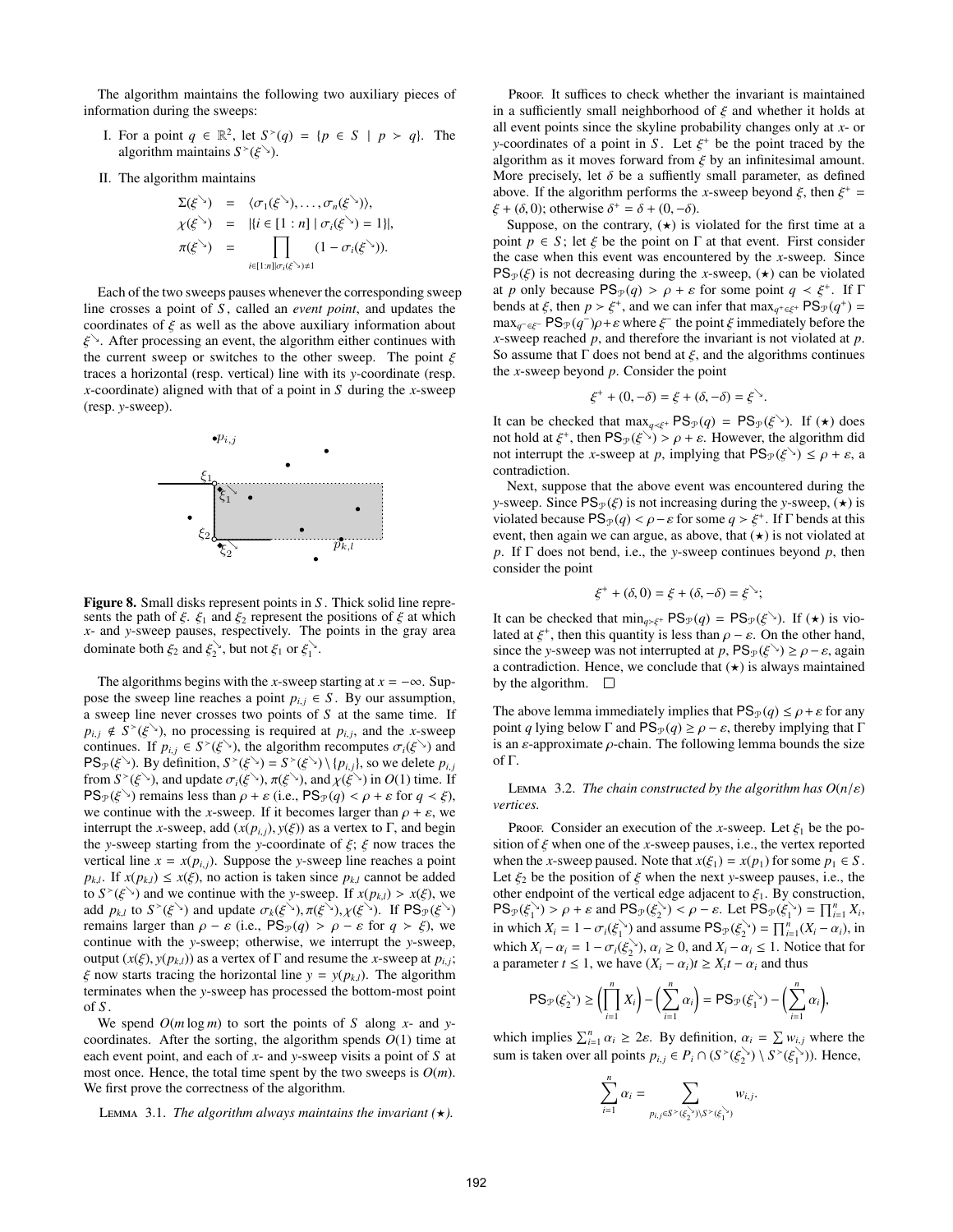The algorithm maintains the following two auxiliary pieces of information during the sweeps:

- I. For a point  $q \in \mathbb{R}^2$ , let  $S^>(q) = \{p \in S \mid p > q\}$ . The algorithm maintains  $S^>(\xi^{\searrow})$ .
- II. The algorithm maintains

$$
\Sigma(\xi^{\searrow}) = \langle \sigma_1(\xi^{\searrow}), \dots, \sigma_n(\xi^{\searrow}) \rangle, \n\chi(\xi^{\searrow}) = |\{i \in [1:n] \mid \sigma_i(\xi^{\searrow}) = 1\}|, \n\pi(\xi^{\searrow}) = \prod_{i \in [1:n] \mid \sigma_i(\xi^{\searrow}) \neq 1} (1 - \sigma_i(\xi^{\searrow})).
$$

Each of the two sweeps pauses whenever the corresponding sweep line crosses a point of *S* , called an *event point*, and updates the coordinates of  $\xi$  as well as the above auxiliary information about  $\frac{1}{2}$  current sweep or switches to the other sweep. The point  $\xi$ <br>traces a horizontal (resp. vertical) line with its v-coordinate (resp.  $\xi^{\setminus}$ . After processing an event, the algorithm either continues with traces a horizontal (resp. vertical) line with its *y*-coordinate (resp. *x*-coordinate) aligned with that of a point in *S* during the *x*-sweep (resp. *y*-sweep).



Figure 8. Small disks represent points in *S* . Thick solid line represents the path of  $\xi$ .  $\xi_1$  and  $\xi_2$  represent the positions of  $\xi$  at which *x*- and *y*-sweep pauses, respectively. The points in the gray area dominate both  $\xi_2$  and  $\xi_2^{\searrow}$ , but not  $\xi_1$  or  $\xi_1^{\searrow}$ .

The algorithms begins with the *x*-sweep starting at  $x = -\infty$ . Suppose the sweep line reaches a point  $p_{i,j} \in S$ . By our assumption, a sweep line never crosses two points of *S* at the same time. If  $p_{i,j} \notin \overline{S}^>(\xi^{\&})$ , no processing is required at  $p_{i,j}$ , and the *x*-sweep continues If  $p_{\xi} \in \overline{S}^>(\xi^{\&})$  the algorithm recomputes  $\sigma(\xi^{\&})$  and continues. If  $p_{i,j} \in S^>(\xi^{\searrow})$ , the algorithm recomputes  $\sigma_i(\xi^{\searrow})$  and  $PS_n(\xi^{\searrow})$ . By definition  $S^*(\xi^{\searrow}) = S^*(\xi^{\searrow}) \setminus \{n_{i,j}\}$  so we delete  $n_{i,j}$ .  $PS_{\mathcal{P}}(\xi^{\>}).$  By definition,  $S^{\>}(\xi^{\>})=S^{\>}(\xi^{\>})\setminus\{p_{i,j}\}\text{, so we delete } p_{i,j}$ <br>from  $S^{\>}(\xi^{\>}).$  and undate  $\sigma(\xi^{\>}).$   $\pi(\xi^{\>}).$  and  $\nu(\xi^{\>}).$  in  $O(1)$  time. If from  $S^>(\xi^{\&arrow})$ , and update  $\sigma_i(\xi^{\&arrow})$ ,  $\pi(\xi^{\&arrow})$ , and  $\chi(\xi^{\&arrow})$  in  $O(1)$  time. If  $PS_{\pi}(\xi^{\&arrow})$  remains less than  $\alpha + \varepsilon$  (i.e.,  $PS_{\pi}(\alpha) < \alpha + \varepsilon$  for  $\alpha < \xi$ )  $PS_{\mathcal{P}}(\xi^{\searrow})$  remains less than  $\rho + \varepsilon$  (i.e.,  $PS_{\mathcal{P}}(q) < \rho + \varepsilon$  for  $q < \xi$ ),<br>we continue with the *y*-sween. If it becomes larger than  $\rho + \varepsilon$  we we continue with the *x*-sweep. If it becomes larger than  $\rho + \varepsilon$ , we interrupt the *x*-sweep, add ( $x$ ( $p$ <sup>*i*</sup>, *j*),  $y$ ( $ξ$ )) as a vertex to Γ, and begin the *y*-sweep starting from the *y*-coordinate of  $\xi$ ;  $\xi$  now traces the vertical line  $x = x(p_{i,j})$ . Suppose the *y*-sweep line reaches a point  $p_{k,l}$ . If  $x(p_{k,l}) \le x(\xi)$ , no action is taken since  $p_{k,l}$  cannot be added to  $S^>(\xi)$  and we continue with the *v*-sweep. If  $x(p_{k,l}) > x(\xi)$  we to  $S^>(\xi^>)$  and we continue with the *y*-sweep. If  $x(p_{k,l}) > x(\xi)$ , we add  $p_{k,l}$  to  $S^>(\xi^*)$  and undate  $\sigma_k(\xi^*) = \gamma(\xi^*) \gamma_k(\xi^*)$ . If  $PS_m(\xi^*)$ add  $p_{k,l}$  to  $S^>(\xi^{\&})$  and update  $\sigma_k(\xi^{\&})$ ,  $\pi(\xi^{\&})$ ,  $\chi(\xi^{\&})$ . If  $PS_p(\xi^{\&})$ <br>remains larger than  $\rho = \varepsilon$  (i.e.  $PS_p(a) > \rho - \varepsilon$  for  $a > \xi$ ), we remains larger than  $\rho - \varepsilon$  (i.e.,  $PS_{\mathcal{P}}(q) > \rho - \varepsilon$  for  $q > \xi$ ), we continue with the *y*-sweep; otherwise, we interrupt the *y*-sweep, output  $(x(ξ), y(p<sub>k,l</sub>))$  as a vertex of Γ and resume the *x*-sweep at  $p<sub>i,j</sub>$ ;<br>ξ now starts tracing the horizontal line  $y = y(p<sub>k</sub>)$ . The algorithm  $\xi$  now starts tracing the horizontal line  $y = y(p_{k,l})$ . The algorithm terminates when the *y*-sweep has processed the bottom-most point of *S* .

We spend  $O(m \log m)$  to sort the points of *S* along *x*- and *y*coordinates. After the sorting, the algorithm spends  $O(1)$  time at each event point, and each of *x*- and *y*-sweep visits a point of *S* at most once. Hence, the total time spent by the two sweeps is  $O(m)$ . We first prove the correctness of the algorithm.

LEMMA 3.1. *The algorithm always maintains the invariant*  $(\star)$ *.* 

PROOF. It suffices to check whether the invariant is maintained in a sufficiently small neighborhood of  $\xi$  and whether it holds at all event points since the skyline probability changes only at *x*- or *y*-coordinates of a point in *S*. Let  $\xi^+$  be the point traced by the placerithm as it moves forward from  $\xi$  by an infinitesimal amount algorithm as it moves forward from  $\xi$  by an infinitesimal amount. More precisely, let  $\delta$  be a suffiently small parameter, as defined above. If the algorithm performs the *x*-sweep beyond  $\xi$ , then  $\xi^+ = \xi + (\delta \theta)$ ; otherwise  $\delta^+ = \delta + (\theta - \delta)$  $\xi + (\delta, 0)$ ; otherwise  $\delta^+ = \delta + (0, -\delta)$ .<br>Suppose on the contrary ( $\star$ ) is y

Suppose, on the contrary,  $(\star)$  is violated for the first time at a point  $p \in S$ ; let  $\xi$  be the point on  $\Gamma$  at that event. First consider the case when this event was encountered by the *x*-sweep. Since  $PS_{\mathcal{P}}(\xi)$  is not decreasing during the *x*-sweep, ( $\star$ ) can be violated at *p* only because  $PS_{\mathcal{P}}(q) > \rho + \varepsilon$  for some point  $q < \xi^+$ . If  $\Gamma$ <br>bends at  $\xi$  then  $p \leq \xi^+$  and we can infer that may  $\lim_{\xi \to 0} PS_{\mathcal{P}}(q^+)$ bends at  $\xi$ , then  $p > \xi^+$ , and we can infer that max<sub> $q^+ \epsilon \xi^+$ </sub>  $PS_p(q^+) =$ <br>may be  $PS_p(q^-)q^+$ s where  $\xi^-$  the point  $\xi$  immediately before the max<sub>q</sub>- $\epsilon_{\xi}$ - PS<sub>P</sub>(q<sup>-</sup>) $\rho$  +  $\varepsilon$  where  $\xi$ <sup>-</sup> the point  $\xi$  immediately before the *r*-sweep reached *n* and therefore the invariant is not violated at *n x*-sweep reached *p*, and therefore the invariant is not violated at *p*. So assume that  $\Gamma$  does not bend at  $\xi$ , and the algorithms continues the *x*-sweep beyond *p*. Consider the point

$$
\xi^+ + (0, -\delta) = \xi + (\delta, -\delta) = \xi^{\searrow}.
$$

It can be checked that  $\max_{q \leq \xi^+} PS_{\mathcal{P}}(q) = PS_{\mathcal{P}}(\xi^>)$ . If  $(\star)$  does not hold at  $\xi^+$  then  $PS_{\mathcal{P}}(\xi^>) > 0 + \varepsilon$ . However, the algorithm did not hold at  $\xi^+$ , then  $PS_p(\xi^{\searrow}) > \rho + \varepsilon$ . However, the algorithm did<br>not interrupt the x-sweep at *n* implying that  $PS_p(\xi^{\searrow}) < \rho + \varepsilon$  a not interrupt the *x*-sweep at *p*, implying that  $PS_{\mathcal{P}}(\xi^{\searrow}) \leq \rho + \varepsilon$ , a contradiction contradiction.

Next, suppose that the above event was encountered during the *y*-sweep. Since  $PS_{\mathcal{P}}(\xi)$  is not increasing during the *y*-sweep,  $(\star)$  is violated because  $PS_{\mathcal{P}}(q) < \rho - \varepsilon$  for some  $q > \xi^+$ . If  $\Gamma$  bends at this event then again we can argue as above that  $(\star)$  is not violated at event, then again we can argue, as above, that  $(\star)$  is not violated at *p*. If Γ does not bend, i.e., the *y*-sweep continues beyond *p*, then consider the point

$$
\xi^+ + (\delta, 0) = \xi + (\delta, -\delta) = \xi^{\searrow};
$$

It can be checked that  $\min_{q>\xi^+} PS_{\mathcal{P}}(q) = PS_{\mathcal{P}}(\xi^{\leq})$ . If  $(\star)$  is vio-<br>lated at  $\xi^+$  then this quantity is less than  $q - \varepsilon$ . On the other hand lated at  $\xi^+$ , then this quantity is less than  $\rho - \varepsilon$ . On the other hand,<br>since the v-sweep was not interrupted at  $p \operatorname{PS}_n(\xi^{\vee}) \geq 0 - \varepsilon$  again since the *y*-sweep was not interrupted at *p*,  $PS_{\mathcal{P}}(\xi^{\geq}) \geq \rho - \varepsilon$ , again a contradiction. Hence, we conclude that  $(\star)$  is always maintained a contradiction. Hence, we conclude that  $(\star)$  is always maintained by the algorithm.  $\Box$ 

The above lemma immediately implies that  $PS_{\mathcal{P}}(q) \leq \rho + \varepsilon$  for any point *q* lying below  $\Gamma$  and  $PS_{\mathcal{P}}(q) \geq \rho - \varepsilon$ , thereby implying that  $\Gamma$ is an  $\varepsilon$ -approximate  $\rho$ -chain. The following lemma bounds the size of Γ.

LEMMA 3.2. *The chain constructed by the algorithm has*  $O(n/\varepsilon)$ *vertices.*

PROOF. Consider an execution of the *x*-sweep. Let  $\xi_1$  be the position of  $\xi$  when one of the *x*-sweep pauses, i.e., the vertex reported when the *x*-sweep paused. Note that  $x(\xi_1) = x(p_1)$  for some  $p_1 \in S$ . Let  $\xi_2$  be the position of  $\xi$  when the next *y*-sweep pauses, i.e., the other endpoint of the vertical edge adjacent to  $\xi_1$ . By construction,  $PS_p(\xi_1^{\lambda_1}) > \rho + \varepsilon$  and  $PS_p(\xi_2^{\lambda_2}) < \rho - \varepsilon$ . Let  $PS_p(\xi_1^{\lambda_1}) = \prod_{i=1}^n X_i$ ,<br>in which  $X = 1 - \sigma(\zeta)$  and agguing  $PS_p(\zeta_1^{\lambda_1}) = \prod_{i=1}^n (X_i - \zeta_i)$  in in which  $X_i = 1 - \sigma_i(\xi_i^{\geq \lambda})$  and assume  $PS_{\mathcal{P}}(\xi_i^{\geq \lambda}) = \prod_{i=1}^n (X_i - \alpha_i)$ , in which  $Y = \alpha - 1 - \sigma(\xi_i^{\geq \lambda})$ ,  $\alpha \geq 0$  and  $Y = \alpha \leq 1$ . Notice that for which  $X_i - \alpha_i = 1 - \sigma_i(\xi_i^{\geq 0}), \alpha_i \geq 0$ , and  $X_i - \alpha_i \leq 1$ . Notice that for a parameter  $t \le 1$ , we have  $(X_i - \alpha_i)t \ge X_i t - \alpha_i$  and thus

$$
\mathsf{PS}_{\mathcal{P}}(\xi_2^{\searrow}) \geq \bigg(\prod_{i=1}^n X_i\bigg) - \bigg(\sum_{i=1}^n \alpha_i\bigg) = \mathsf{PS}_{\mathcal{P}}(\xi_1^{\searrow}) - \bigg(\sum_{i=1}^n \alpha_i\bigg),
$$

which implies  $\sum_{i=1}^{n} \alpha_i \geq 2\varepsilon$ . By definition,  $\alpha_i = \sum w_{i,j}$  where the sum is taken over all points  $p_{i,j} \in P_i \cap (S^>(\xi_2^{\ge}) \setminus S^>(\xi_1^{\ge})$ ). Hence,

$$
\sum_{i=1}^n \alpha_i = \sum_{p_{i,j} \in S^>(\xi_2^{\searrow})\setminus S^>(\xi_1^{\searrow})} w_{i,j}.
$$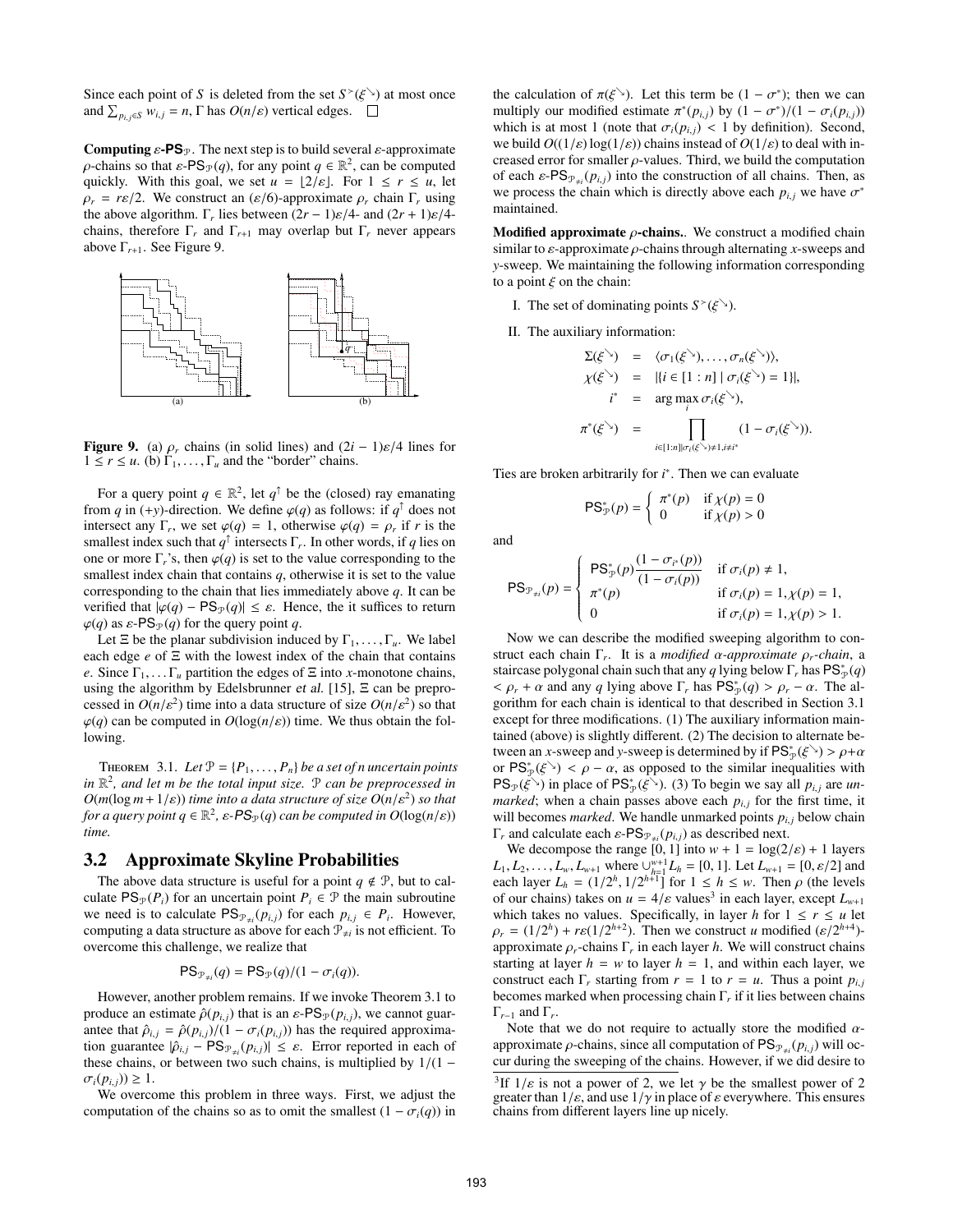Since each point of *S* is deleted from the set  $S^>(\xi^{\searrow})$  at most once<br>and  $\Sigma \longrightarrow w_{\xi^{\sharp}} = n \Gamma$  has  $O(n/\epsilon)$  vertical edges and  $\sum_{p_{i,j} \in S} w_{i,j} = n$ ,  $\Gamma$  has  $O(n/\varepsilon)$  vertical edges.

**Computing**  $\varepsilon$ **-PS** $p$ . The next step is to build several  $\varepsilon$ -approximate *ρ*-chains so that  $\epsilon$ - $PS_p(q)$ , for any point  $q \in \mathbb{R}^2$ , can be computed outchly With this goal, we set  $u = 2/\epsilon$ . For  $1 \le r \le u$  let quickly. With this goal, we set  $u = \lfloor 2/\varepsilon \rfloor$ . For  $1 \le r \le u$ , let  $\rho_r = r\epsilon/2$ . We construct an ( $\epsilon/6$ )-approximate  $\rho_r$  chain  $\Gamma_r$  using the above algorithm.  $\Gamma_r$  lies between  $(2r - 1)\varepsilon/4$ - and  $(2r + 1)\varepsilon/4$ -<br>chains therefore  $\Gamma$  and  $\Gamma$  are may overlap but  $\Gamma$  never appears chains, therefore  $\Gamma_r$  and  $\Gamma_{r+1}$  may overlap but  $\Gamma_r$  never appears above Γ*<sup>r</sup>*+<sup>1</sup>. See Figure 9.



**Figure 9.** (a)  $\rho_r$  chains (in solid lines) and  $(2i - 1)\varepsilon/4$  lines for  $1 \le r \le u$ . (b)  $\Gamma_1, \ldots, \Gamma_u$  and the "border" chains.

For a query point  $q \in \mathbb{R}^2$ , let  $q^{\uparrow}$  be the (closed) ray emanating from *q* in (+y)-direction. We define  $\varphi(q)$  as follows: if  $q^{\uparrow}$  does not intersect any  $\Gamma$  we set  $\varphi(q) = 1$  otherwise  $\varphi(q) = 0$  if *r* is the intersect any Γ*r*, we set  $\varphi(q) = 1$ , otherwise  $\varphi(q) = \rho_r$  if *r* is the smallest index such that  $a^{\dagger}$  intersects Γ In other words if *a* lies on smallest index such that  $q^{\uparrow}$  intersects  $\Gamma_r$ . In other words, if *q* lies on one or more  $\Gamma$ <sub>*r*</sub>'s, then  $\varphi$ (*q*) is set to the value corresponding to the smallest index chain that contains *q*, otherwise it is set to the value corresponding to the chain that lies immediately above *q*. It can be verified that  $|\varphi(q) - PS_{\mathcal{P}}(q)| \leq \varepsilon$ . Hence, the it suffices to return  $\varphi(q)$  as  $\varepsilon$ -PS<sub>P</sub>(*q*) for the query point *q*.

Let  $\Xi$  be the planar subdivision induced by  $\Gamma_1, \ldots, \Gamma_u$ . We label each edge *e* of Ξ with the lowest index of the chain that contains *e*. Since  $\Gamma_1, \ldots, \Gamma_u$  partition the edges of  $\Xi$  into *x*-monotone chains, using the algorithm by Edelsbrunner et al. [15],  $\Xi$  can be preprocessed in  $O(n/\varepsilon^2)$  time into a data structure of size  $O(n/\varepsilon^2)$  so that  $O(n/\varepsilon)$  an be computed in  $O(\log(n/\varepsilon))$  time. We thus obtain the fol- $\varphi(q)$  can be computed in  $O(\log(n/\varepsilon))$  time. We thus obtain the following.

THEOREM 3.1. Let  $\mathcal{P} = \{P_1, \ldots, P_n\}$  *be a set of n uncertain points in* R 2 *, and let m be the total input size.* P *can be preprocessed in*  $O(m(\log m + 1/\varepsilon))$  *time into a data structure of size*  $O(n/\varepsilon^2)$  *so that*<br>for a query point  $a \in \mathbb{R}^2$ ,  $\varepsilon$ -PS<sub>n</sub>(a) can be computed in  $O(\log(n/\varepsilon))$ *for a query point*  $q \in \mathbb{R}^2$ *,*  $\varepsilon$ *-PS<sub>P</sub>(<i>q*) *can be computed in*  $O(\log(n/\varepsilon))$ *time.*

#### 3.2 Approximate Skyline Probabilities

The above data structure is useful for a point  $q \notin \mathcal{P}$ , but to calculate  $PS_{\mathcal{P}}(P_i)$  for an uncertain point  $P_i \in \mathcal{P}$  the main subroutine we need is to calculate  $PS_{\mathcal{P}_{\neq i}}(p_{i,j})$  for each  $p_{i,j} \in P_i$ . However, computing a data structure as above for each  $\mathcal{P}_{\neq i}$  is not efficient. To overcome this challenge, we realize that

$$
PS_{\mathcal{P}_{\neq i}}(q) = PS_{\mathcal{P}}(q)/(1 - \sigma_i(q)).
$$

However, another problem remains. If we invoke Theorem 3.1 to produce an estimate  $\hat{\rho}(p_{i,j})$  that is an  $\varepsilon$ -PS<sub>P</sub>( $p_{i,j}$ ), we cannot guarantee that  $\hat{\rho}_{i,j} = \hat{\rho}(p_{i,j})/(1 - \sigma_i(p_{i,j}))$  has the required approximation guarantee  $|\hat{\rho}_{i,j} - \mathsf{PS}_{\mathcal{P}_{\neq i}}(p_{i,j})| \leq \varepsilon$ . Error reported in each of these chains or between two such chains is multiplied by 1/(1 – these chains, or between two such chains, is multiplied by  $1/(1 \sigma_i(p_{i,j}) \geq 1$ .

We overcome this problem in three ways. First, we adjust the computation of the chains so as to omit the smallest  $(1 - \sigma_i(q))$  in

the calculation of  $\pi(\xi^{\&set})$ . Let this term be  $(1 - \sigma^*)$ ; then we can<br>multiply our modified estimate  $\pi^*(n_{\cdot} \cdot)$  by  $(1 - \sigma^*)/(1 - \sigma(n_{\cdot} \cdot))$ multiply our modified estimate  $\pi^*(p_{i,j})$  by  $(1 - \sigma^*)/(1 - \sigma_i(p_{i,j}))$ <br>which is at most 1 (note that  $\sigma_i(p_i) < 1$  by definition). Second which is at most 1 (note that  $\sigma_i(p_{i,j}) < 1$  by definition). Second, we build  $O((1/\varepsilon) \log(1/\varepsilon))$  chains instead of  $O(1/\varepsilon)$  to deal with increased error for smaller  $\rho$ -values. Third, we build the computation of each  $\epsilon$ -PS $_{\mathcal{P}_{\neq i}}(p_{i,j})$  into the construction of all chains. Then, as<br>we process the chain which is directly above each  $p_i$ , we have  $\sigma^*$ we process the chain which is directly above each  $p_{i,j}$  we have  $\sigma^*$  maintained maintained.

**Modified approximate**  $\rho$ **-chains.** We construct a modified chain similar to  $\varepsilon$ -approximate  $\rho$ -chains through alternating *x*-sweeps and *y*-sweep. We maintaining the following information corresponding to a point  $\xi$  on the chain:

- I. The set of dominating points  $S^>(\xi^{\searrow})$ .
- II. The auxiliary information:

$$
\Sigma(\xi^{\searrow}) = \langle \sigma_1(\xi^{\searrow}), \dots, \sigma_n(\xi^{\searrow}) \rangle, \n\chi(\xi^{\searrow}) = |\{i \in [1:n] \mid \sigma_i(\xi^{\searrow}) = 1\}|, \n i^* = \arg \max_{i} \sigma_i(\xi^{\searrow}), \n\pi^*(\xi^{\searrow}) = \prod_{i \in [1:n] \mid \sigma_i(\xi^{\searrow}) \neq 1, i \neq i^*} (1 - \sigma_i(\xi^{\searrow})).
$$

Ties are broken arbitrarily for *i* ∗ . Then we can evaluate

$$
\mathsf{PS}_{\mathcal{P}}^*(p) = \begin{cases} \pi^*(p) & \text{if } \chi(p) = 0\\ 0 & \text{if } \chi(p) > 0 \end{cases}
$$

and

$$
\mathsf{PS}_{\mathcal{P}_{\neq i}}(p) = \begin{cases} \mathsf{PS}_{\mathcal{P}}^*(p) \frac{(1 - \sigma_{i^*}(p))}{(1 - \sigma_{i}(p))} & \text{if } \sigma_i(p) \neq 1, \\ \pi^*(p) & \text{if } \sigma_i(p) = 1, \chi(p) = 1, \\ 0 & \text{if } \sigma_i(p) = 1, \chi(p) > 1. \end{cases}
$$

Now we can describe the modified sweeping algorithm to construct each chain Γ*r*. It is a *modified*  $\alpha$ *-approximate*  $\rho_r$ *-chain*, a staircase polygonal chain such that any a lying below Γ has PS<sup>\*</sup> (a) staircase polygonal chain such that any *q* lying below  $\Gamma_r$  has  $PS^*_{\mathcal{P}}(q)$  $\langle \rho_r + \alpha \rangle$  and any *q* lying above  $\Gamma_r$  has  $PS_{\mathcal{P}}^*(q) > \rho_r - \alpha$ . The al-<br>porithm for each chain is identical to that described in Section 3.1 gorithm for each chain is identical to that described in Section 3.1 except for three modifications. (1) The auxiliary information maintained (above) is slightly different. (2) The decision to alternate between an *x*-sweep and *y*-sweep is determined by if  $PS_p^*(\xi^{\searrow}) > \rho + \alpha$ <br>or  $PS_p^*(\xi^{\searrow}) < \rho - \alpha$  as opposed to the similar inequalities with or  $PS_{\mathcal{P}}^*(\xi^{\searrow}) < \rho - \alpha$ , as opposed to the similar inequalities with  $PS_{\mathcal{P}}(\xi^{\searrow})$  in place of  $PS_{\mathcal{P}}^*(\xi^{\searrow})$  (3) To begin we say all  $p_{\mathcal{P}}$  are un- $PS_{\mathcal{P}}(\check{\xi}^{\setminus})$  in place of  $PS_{\mathcal{P}}^*(\check{\xi}^{\setminus})$ . (3) To begin we say all  $p_{i,j}$  are *un-*<br>*marked*: when a chain passes above each *n*. for the first time it *marked*; when a chain passes above each  $p_{i,j}$  for the first time, it will becomes *marked*. We handle unmarked points  $p_{i,j}$  below chain  $\Gamma_r$  and calculate each  $\varepsilon$ -PS $_{\mathcal{P}_{\neq i}}(p_{i,j})$  as described next.<br>We decompose the range  $[0, 1]$  into  $w + 1 = \log(2)$ 

We decompose the range [0, 1] into  $w + 1 = \log(2/\varepsilon) + 1$  layers *L*<sub>1</sub>, *L*<sub>2</sub>, . . . , *L<sub><i>w*</sub>, *L<sub><i>w*</sub><sub>+1</sub> where  $\bigcup_{h=1}^{w+1} L_h = [0, 1]$ . Let  $L_{w+1} = [0, \varepsilon/2]$  and each layer  $L_1 = (1/2^h, 1/2^{h+1}]$  for  $1 \le h \le w$ . Then  $\alpha$  (the levels each layer  $L_h = (1/2^h, 1/2^{h+1})$  for  $1 \le h \le w$ . Then  $\rho$  (the levels<br>of our chains) takes on  $u - A/s$  values<sup>3</sup> in each layer except  $I_{n+1}$ of our chains) takes on  $u = 4/\varepsilon$  values<sup>3</sup> in each layer, except  $L_{w+1}$ <br>which takes no values. Specifically, in layer h for  $1 \le r \le u$  let which takes no values. Specifically, in layer *h* for  $1 \le r \le u$  let  $\rho_r = (1/2^h) + r\varepsilon(1/2^{h+2})$ . Then we construct *u* modified  $(\varepsilon/2^{h+4})$ -<br>approximate *o*-chains  $\Gamma$  in each layer *h*. We will construct chains approximate  $\rho_r$ -chains  $\Gamma_r$  in each layer *h*. We will construct chains starting at layer *h* = *w* to layer *h* = 1, and within each layer we starting at layer  $h = w$  to layer  $h = 1$ , and within each layer, we construct each  $\Gamma_r$  starting from  $r = 1$  to  $r = u$ . Thus a point  $p_{i,j}$ becomes marked when processing chain Γ*<sup>r</sup>* if it lies between chains  $\Gamma_{r-1}$  and  $\Gamma_r$ .

Note that we do not require to actually store the modified  $\alpha$ approximate  $\rho$ -chains, since all computation of  $PS_{\mathcal{P}_{\# i}}(p_{i,j})$  will oc-<br>cur during the sweeping of the chains. However, if we did desire to cur during the sweeping of the chains. However, if we did desire to

<sup>&</sup>lt;sup>3</sup>If  $1/\varepsilon$  is not a power of 2, we let  $\gamma$  be the smallest power of 2 preater than  $1/\varepsilon$ , and use  $1/\gamma$  in place of  $\varepsilon$  everywhere. This ensures greater than  $1/\varepsilon$ , and use  $1/\gamma$  in place of  $\varepsilon$  everywhere. This ensures chains from different layers line up nicely.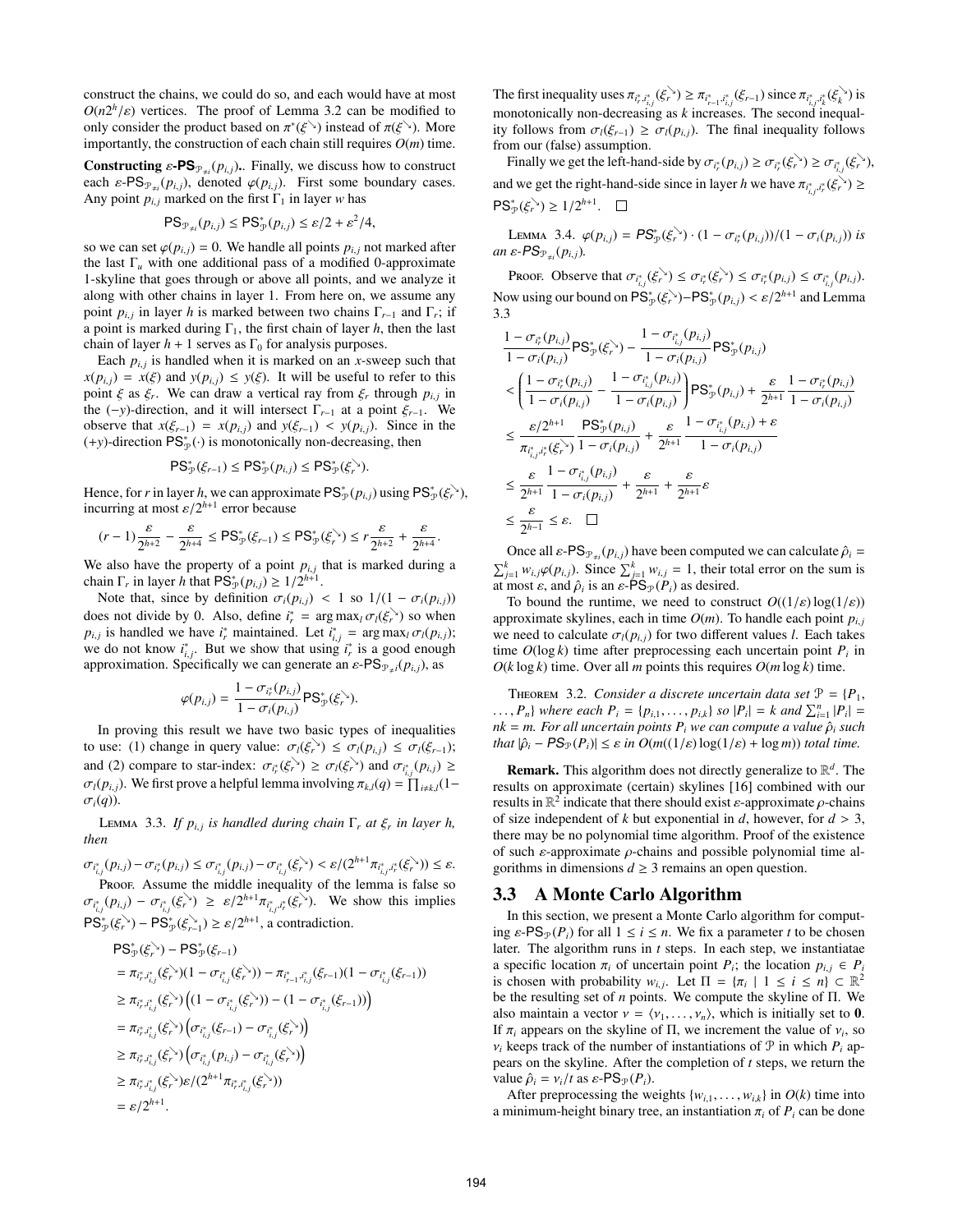construct the chains, we could do so, and each would have at most  $O(n2^h/\varepsilon)$  vertices. The proof of Lemma 3.2 can be modified to only consider the product based on  $\pi^*(\varepsilon)$  instead of  $\pi(\varepsilon)$ . More only consider the product based on  $\pi^*(\xi^{\&})$  instead of  $\pi(\xi^{\&})$ . More importantly the construction of each chain still requires  $O(m)$  time importantly, the construction of each chain still requires  $O(m)$  time.

**Constructing**  $\varepsilon$ **-PS** $_{\mathcal{P}_{\pm i}}(p_{i,j})$ .. Finally, we discuss how to construct each  $\varepsilon$ -PS<sub>30</sub> (*p*<sub>i</sub>). denoted  $g(p_i)$ . First some boundary cases each  $\mathcal{E}$ -PS<sub> $\mathcal{P}_{\neq i}(p_{i,j})$ , denoted  $\varphi(p_{i,j})$ . First some boundary cases.<br>Any point  $p_i$ , marked on the first  $\Gamma$ , in layer w has</sub> Any point  $p_{i,j}$  marked on the first  $\Gamma_1$  in layer *w* has

$$
\mathsf{PS}_{\mathcal{P}_{\neq i}}(p_{i,j}) \leq \mathsf{PS}_{\mathcal{P}}^*(p_{i,j}) \leq \varepsilon/2 + \varepsilon^2/4,
$$

so we can set  $\varphi(p_{i,j}) = 0$ . We handle all points  $p_{i,j}$  not marked after the last  $\Gamma_u$  with one additional pass of a modified 0-approximate 1-skyline that goes through or above all points, and we analyze it along with other chains in layer 1. From here on, we assume any point  $p_{i,j}$  in layer *h* is marked between two chains  $\Gamma_{r-1}$  and  $\Gamma_r$ ; if a point is marked during  $\Gamma_1$ , the first chain of layer *h*, then the last chain of layer  $h + 1$  serves as  $\Gamma_0$  for analysis purposes.

Each  $p_{i,j}$  is handled when it is marked on an *x*-sweep such that  $x(p_{i,j}) = x(\xi)$  and  $y(p_{i,j}) \leq y(\xi)$ . It will be useful to refer to this point  $\xi$  as  $\xi_r$ . We can draw a vertical ray from  $\xi_r$  through  $p_{i,j}$  in<br>the  $(-y)$ -direction, and it will intersect  $\Gamma$ , at a point  $\xi$ , We the (-*y*)-direction, and it will intersect  $\Gamma_{r-1}$  at a point  $\xi_{r-1}$ . We observe that  $x(\xi_{r-1}) = x(p_{i,j})$  and  $y(\xi_{r-1}) < y(p_{i,j})$ . Since in the (+y)-direction  $PS_{\mathcal{P}}^{*}(\cdot)$  is monotonically non-decreasing, then

$$
\mathsf{PS}_{\mathcal{P}}^*(\xi_{r-1}) \leq \mathsf{PS}_{\mathcal{P}}^*(p_{i,j}) \leq \mathsf{PS}_{\mathcal{P}}^*(\xi_r^{\searrow}).
$$

Hence, for *r* in layer *h*, we can approximate  $PS_{\mathcal{P}}^{*}(p_{i,j})$  using  $PS_{\mathcal{P}}^{*}(\xi_{r}^{>})$ , incurring at most  $s/2^{h+1}$  error because incurring at most  $\varepsilon/2^{h+1}$  error because

$$
(r-1)\frac{\varepsilon}{2^{h+2}}-\frac{\varepsilon}{2^{h+4}}\leq \mathsf{PS}^*_\mathcal{P}(\xi_{r-1})\leq \mathsf{PS}^*_\mathcal{P}(\xi_r^{\searrow})\leq r\frac{\varepsilon}{2^{h+2}}+\frac{\varepsilon}{2^{h+4}}.
$$

We also have the property of a point  $p_{i,j}$  that is marked during a shain  $\Gamma$  in layer *l*<sub>1</sub> that  $DS^*$  ( $n \ge 1/2h+1$ chain  $\Gamma_r$  in layer *h* that  $PS^*_{\mathcal{P}}(p_{i,j}) \geq 1/2^{h+1}$ .<br>Note that since by definition  $\sigma_r(p_{i,j})$ .

Note that, since by definition  $\sigma_i(p_{i,j}) < 1$  so  $1/(1 - \sigma_i(p_{i,j}))$ does not divide by 0. Also, define  $i_r^* = \arg \max_l \sigma_l(\xi_r^*)$  so when  $n_i$ , is handled we have  $i^*$  maintained. Let  $i^* = \arg \max_l \sigma_l(n_i)$ *p*<sub>*i*</sub>, *j* is handled we have *i*<sup>\*</sup><sub>*i*</sub></sub> maintained. Let  $i^*_{i,j} = \arg \max_i \sigma_i(p_{i,j})$ ; we do not know *i*<sup>\*</sup> But we show that using *i*<sup>\*</sup> is a good enough we do not know  $i_{i,j}^*$ . But we show that using  $i_r^*$  is a good enough *i*, *j* as a good chock into  $i_{i,j}$ . But we show that using  $i_r$  is a good chock approximation. Specifically we can generate an  $ε$ -PS<sub> $P_{\neq i}(p_{i,j})$ , as</sub>

$$
\varphi(p_{i,j}) = \frac{1 - \sigma_{i_r^*}(p_{i,j})}{1 - \sigma_i(p_{i,j})} \mathsf{PS}_{\mathcal{P}}^*(\xi_r^{\searrow}).
$$

 $\varphi(p_{i,j}) = 1 - \sigma_i(p_{i,j})$ <br>In proving this result we have two basic types of inequalities to use: (1) change in query value:  $\sigma_l(\xi_r^{\geq}) \leq \sigma_l(p_{i,j}) \leq \sigma_l(\xi_{r-1})$ ;<br>and (2) compare to star index:  $\sigma_l(\xi_r^{\geq}) \geq \sigma_l(\xi_r^{\geq})$  and  $\sigma_l(\eta_r) \geq$ and (2) compare to star-index:  $\sigma_{i_i^*}(\xi_r^{\geq \gamma}) \geq \sigma_l(\xi_r^{\geq \gamma})$  and  $\sigma_{i_j^*}(\rho_{i,j}) \geq \sigma_l(\rho_{i,j})$ . We first prove a belieful larger symboliser  $\pi_r(\rho_{i,j}) = \prod_{i=1}^l (1 - \rho_{i,j})$  $\sigma_l(p_{i,j})$ . We first prove a helpful lemma involving  $\pi_{k,l}(q) = \prod_{i \neq k,l} (1-q_{i,j})$  $\sigma_i(q)$ ).

LEMMA 3.3. *If p<sub>i,j</sub> is handled during chain* Γ<sub>*r*</sub> *at*  $ξ$ *r in layer h, then*

$$
\sigma_{i_{i,j}^*}(p_{i,j}) - \sigma_{i_r^*}(p_{i,j}) \le \sigma_{i_{i,j}^*}(p_{i,j}) - \sigma_{i_{i,j}^*}(\xi_r^{\ge}) < \varepsilon/(2^{h+1}\pi_{i_{i,j}^*,i_r^*}(\xi_r^{\ge})) \le \varepsilon.
$$
\nPROOF. Assume the middle inequality of the lemma is false so

 $\sigma_{i,j}$  ( $p_{i,j}$ )  $\rightarrow \sigma_{i,j}$  ( $\xi_r$ )  $\rightarrow \varepsilon/2^{h+1}\pi_{i,j}$   $\pi_f$  ( $\xi_r$ ). We show this implies  $PS_p^*(\xi_r^{\geq}) - PS_p^*(\xi_{r-1}^{\geq}) \geq \varepsilon/2^{h+1}$ , a contradiction.

$$
\begin{aligned} &\textsf{PS}_{\mathcal{P}}^{*}(\xi_{r}^{\searrow}) - \textsf{PS}_{\mathcal{P}}^{*}(\xi_{r-1}) \\ &= \pi_{i_{r}^{*},i_{i,j}^{*}}^{*}(\xi_{r}^{\searrow})(1-\sigma_{i_{i,j}^{*}}(\xi_{r}^{\searrow})) - \pi_{i_{r-1}^{*},i_{i,j}^{*}}^{*}(\xi_{r-1})(1-\sigma_{i_{i,j}^{*}}(\xi_{r-1})) \\ &\geq \pi_{i_{r}^{*},i_{i,j}^{*}}(\xi_{r}^{\searrow})\Big((1-\sigma_{i_{i,j}^{*}}(\xi_{r}^{\searrow})) - (1-\sigma_{i_{i,j}^{*}}(\xi_{r-1}))\Big) \\ &= \pi_{i_{r}^{*},i_{i,j}^{*}}^{*}(\xi_{r}^{\searrow})\Big(\sigma_{i_{i,j}^{*}}(\xi_{r-1}) - \sigma_{i_{i,j}^{*}}(\xi_{r}^{\searrow})\Big) \\ &\geq \pi_{i_{r}^{*},i_{i,j}^{*}}(\xi_{r}^{\searrow})\Big(\sigma_{i_{i,j}^{*}}(p_{i,j}) - \sigma_{i_{i,j}^{*}}(\xi_{r}^{\searrow})\Big) \\ &\geq \pi_{i_{r}^{*},i_{i,j}^{*}}^{*}(\xi_{r}^{\searrow}) \varepsilon/(2^{h+1}\pi_{i_{r}^{*},i_{i,j}^{*}}^{*}(\xi_{r}^{\searrow})) \\ &= \varepsilon/2^{h+1}. \end{aligned}
$$

The first inequality uses  $\pi_{i^*, i^*_{i,j}}(\xi_r^{\geq}) \geq \pi_{i^*_{r-1}, i^*_{i,j}}(\xi_{r-1})$  since  $\pi_{i^*_{i,j}, i^*_{i}}(\xi_r^{\geq})$  is<br>monotonically non-degreesing as kinggroup. The second inequal monotonically non-decreasing as *k* increases. The second inequality follows from  $\sigma_l(\xi_{r-1}) \geq \sigma_l(p_{i,j})$ . The final inequality follows from our (false) assumption.

Finally we get the left-hand-side by  $\sigma_{i_r^*}(p_{i,j}) \ge \sigma_{i_r^*}(\xi_r^{\searrow}) \ge \sigma_{i_{i,j}^*}(\xi_r^{\searrow})$ , and we get the right-hand-side since in layer *h* we have  $\pi_{i,j,i_r^*}(\xi_r^{\zeta}) \ge$  $PS_{\mathcal{P}}^{*}(\xi_{r}^{>}) \geq 1/2^{h+1}.$ 

LEMMA 3.4.  $\varphi(p_{i,j}) = PS_{\mathcal{P}}^{*}(\xi_{r}^{>}) \cdot (1 - \sigma_{i_{r}^{*}}(p_{i,j}))(1 - \sigma_{i}(p_{i,j}))$  *is*<br> $\epsilon_{r} PS_{\mathcal{P}}(n_{i,j})$  $an \varepsilon$ - $PS_{\mathcal{P}_{\neq i}}(p_{i,j})$ .

**PROOF.** Observe that  $\sigma_{i,j}^*(\xi_r^{\geq \nu}) \leq \sigma_{i_r^*}(\xi_r^{\geq \nu}) \leq \sigma_{i_r^*}(p_{i,j}) \leq \sigma_{i_{i,j}^*}(p_{i,j}).$ Now using our bound on  $PS_{\mathcal{P}}^*(\xi_r^{\searrow}) - PS_{\mathcal{P}}^*(p_{i,j}) < \varepsilon/2^{h+1}$  and Lemma 3.3

$$
\begin{split} &\frac{1-\sigma_{i_r^*}(p_{i,j})}{1-\sigma_i(p_{i,j})}\mathsf{PS}_{\mathcal{P}}^*(\xi_r^{\searrow}) - \frac{1-\sigma_{i_{i,j}^*}(p_{i,j})}{1-\sigma_i(p_{i,j})}\mathsf{PS}_{\mathcal{P}}^*(p_{i,j}) \\ & < \left(\frac{1-\sigma_{i_r^*}(p_{i,j})}{1-\sigma_i(p_{i,j})} - \frac{1-\sigma_{i_{i,j}^*}(p_{i,j})}{1-\sigma_i(p_{i,j})}\right)\mathsf{PS}_{\mathcal{P}}^*(p_{i,j}) + \frac{\varepsilon}{2^{h+1}}\frac{1-\sigma_{i_r^*}(p_{i,j})}{1-\sigma_i(p_{i,j})} \\ & \leq \frac{\varepsilon/2^{h+1}}{\pi_{i_{i,j}^*i_{i}^*}(\xi_r^{\searrow})}\frac{\mathsf{PS}_{\mathcal{P}}^*(p_{i,j})}{1-\sigma_i(p_{i,j})} + \frac{\varepsilon}{2^{h+1}}\frac{1-\sigma_{i_{i,j}^*}(p_{i,j}) + \varepsilon}{1-\sigma_i(p_{i,j})} \\ & \leq \frac{\varepsilon}{2^{h+1}}\frac{1-\sigma_{i_{i,j}^*}(p_{i,j})}{1-\sigma_i(p_{i,j})} + \frac{\varepsilon}{2^{h+1}} + \frac{\varepsilon}{2^{h+1}}\varepsilon \\ & \leq \frac{\varepsilon}{2^{h-1}} \leq \varepsilon. \quad \Box \end{split}
$$

Once all  $\varepsilon$ -PS<sub>*P<sub>#</sub>i*</sub>(*p<sub><i>i*</sub>,*j*) have been computed we can calculate  $\hat{\rho}_i =$ <br><sup>*i*</sup>  $\cdots$  *g*(n) Sings  $\nabla^k$  *w* = 1 their total error on the sum is  $\sum_{j=1}^{k} w_{i,j} \varphi(p_{i,j})$ . Since  $\sum_{j=1}^{k} w_{i,j} = 1$ , their total error on the sum is at most  $\varepsilon$  and  $\hat{\alpha}$  is an  $\varepsilon_P \mathbf{B}_{\infty}(P_i)$  as desired at most  $\varepsilon$ , and  $\hat{\rho}_i$  is an  $\varepsilon$ -PS<sub>P</sub>( $P_i$ ) as desired.<br>To bound the runtime, we need to const

To bound the runtime, we need to construct  $O((1/\varepsilon) \log(1/\varepsilon))$ approximate skylines, each in time  $O(m)$ . To handle each point  $p_{i,i}$ we need to calculate  $\sigma_l(p_{i,j})$  for two different values *l*. Each takes time  $O(\log k)$  time after preprocessing each uncertain point  $P_i$  in  $O(k \log k)$  time. Over all *m* points this requires  $O(m \log k)$  time.

THEOREM 3.2. *Consider a discrete uncertain data set*  $\mathcal{P} = \{P_1, \ldots, P_n\}$  $\ldots$ ,  $P_n$  *where each*  $P_i = \{p_{i,1}, \ldots, p_{i,k}\}$  so  $|P_i| = k$  and  $\sum_{i=1}^n |P_i| = n$ *k* – *m*. For all uncertain points *P*, we can compute a value  $\hat{\sigma}$ , such  $nk = m$ *. For all uncertain points P<sub>i</sub> we can compute a value*  $\hat{\rho}_i$  *such that*  $|\hat{\rho}_i - PS_{\mathcal{P}}(P_i)| \leq \varepsilon$  *in*  $O(m((1/\varepsilon) \log(1/\varepsilon) + \log m))$  *total time.* 

Remark. This algorithm does not directly generalize to R *d* . The results on approximate (certain) skylines [16] combined with our results in  $\mathbb{R}^2$  indicate that there should exist  $\varepsilon$ -approximate  $\rho$ -chains<br>of size independent of k but exponential in d, however, for  $d > 3$ of size independent of *k* but exponential in *d*, however, for  $d > 3$ , there may be no polynomial time algorithm. Proof of the existence of such  $\varepsilon$ -approximate  $\rho$ -chains and possible polynomial time algorithms in dimensions  $d \geq 3$  remains an open question.

## 3.3 A Monte Carlo Algorithm

In this section, we present a Monte Carlo algorithm for computing  $\varepsilon$ -PS<sub>P</sub>(*P<sub>i</sub>*) for all  $1 \le i \le n$ . We fix a parameter *t* to be chosen later. The algorithm runs in *t* steps. In each step, we instantiatae a specific location  $\pi_i$  of uncertain point  $P_i$ ; the location  $p_{i,j} \in P_i$ <br>is chosen with probability  $w_i$ . Let  $\Pi - \{\pi_i \mid 1 \le i \le n\} \subset \mathbb{R}^2$ is chosen with probability  $w_{i,j}$ . Let  $\Pi = {\pi_i | 1 \le i \le n} \subset \mathbb{R}^2$ <br>be the resulting set of *n* points. We compute the skyline of  $\Pi$ . We be the resulting set of *n* points. We compute the skyline of Π. We also maintain a vector  $v = \langle v_1, \ldots, v_n \rangle$ , which is initially set to 0. If  $\pi_i$  appears on the skyline of Π, we increment the value of  $\nu_i$ , so  $\nu_k$  keens track of the number of instantiations of  $\mathcal{P}$  in which  $P_k$  an $v_i$  keeps track of the number of instantiations of  $\mathcal P$  in which  $P_i$  appears on the skyline. After the completion of *t* steps, we return the value  $\hat{\rho}_i = v_i/t$  as  $\varepsilon$ -PS<sub>P</sub>( $P_i$ ).

After preprocessing the weights  $\{w_{i,1}, \ldots, w_{i,k}\}$  in  $O(k)$  time into a minimum-height binary tree, an instantiation  $\pi_i$  of  $P_i$  can be done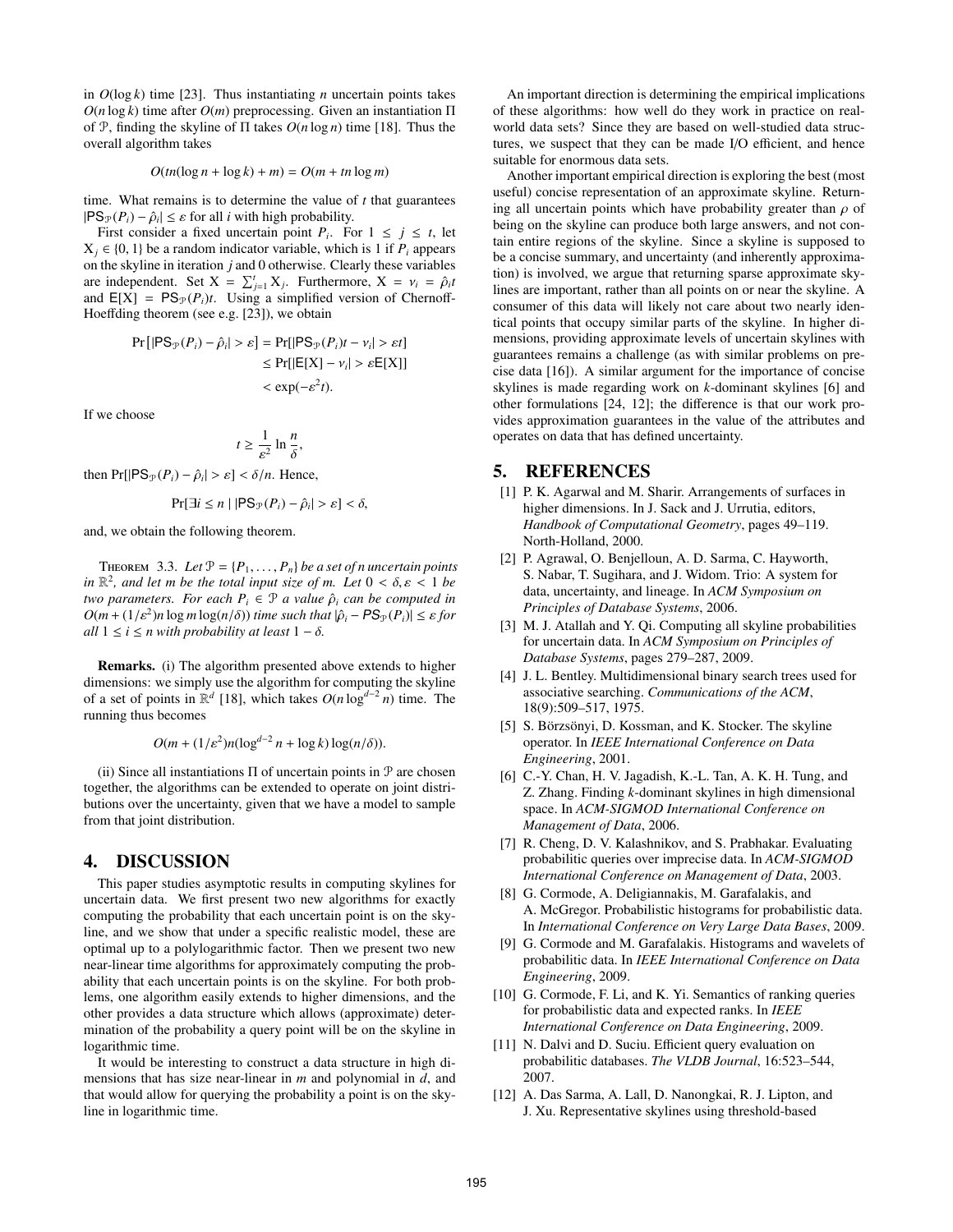in  $O(\log k)$  time [23]. Thus instantiating *n* uncertain points takes  $O(n \log k)$  time after  $O(m)$  preprocessing. Given an instantiation  $\Pi$ of P, finding the skyline of Π takes *O*(*n* log *n*) time [18]. Thus the overall algorithm takes

$$
O(tn(\log n + \log k) + m) = O(m + tn \log m)
$$

time. What remains is to determine the value of *t* that guarantees  $|PS_{\mathcal{P}}(P_i) - \hat{\rho}_i| \leq \varepsilon$  for all *i* with high probability.<br>First consider a fixed uncertain point *P*. For

First consider a fixed uncertain point  $P_i$ . For  $1 \leq j \leq t$ , let  $X_i \in \{0, 1\}$  be a random indicator variable, which is 1 if  $P_i$  appears on the skyline in iteration *j* and 0 otherwise. Clearly these variables are independent. Set  $X = \sum_{j=1}^{t} X_j$ . Furthermore,  $X = v_i = \hat{\rho}_i t$ <br>and  $F[X] = PS_{\mathcal{D}}(P_i)t$ . Using a simplified version of Chernoffand  $E[X] = PS_{\mathcal{P}}(P_i)t$ . Using a simplified version of Chernoff-Hoeffding theorem (see e.g. [23]), we obtain

$$
\Pr\left[|\mathsf{PS}_{\mathcal{P}}(P_i) - \hat{\rho}_i| > \varepsilon\right] = \Pr[|\mathsf{PS}_{\mathcal{P}}(P_i)t - \nu_i| > \varepsilon t] \\
\leq \Pr[|\mathsf{E}[X] - \nu_i| > \varepsilon \mathsf{E}[X]] \\
< \exp(-\varepsilon^2 t).
$$

If we choose

$$
t \ge \frac{1}{\varepsilon^2} \ln \frac{n}{\delta},
$$

then  $Pr[|PS_{\mathcal{P}}(P_i) - \hat{\rho}_i| > \varepsilon] < \delta/n$ . Hence,

$$
\Pr[\exists i \le n \mid |\mathsf{PS}_{\mathcal{P}}(P_i) - \hat{\rho}_i| > \varepsilon] < \delta,
$$

and, we obtain the following theorem.

THEOREM 3.3. Let  $\mathcal{P} = \{P_1, \ldots, P_n\}$  *be a set of n uncertain points in*  $\mathbb{R}^2$ , and let m be the total input size of m. Let  $0 < \delta$ ,  $\varepsilon < 1$  be two parameters. For each  $P \in \mathbb{R}$  a value  $\delta$ , can be computed in *two parameters. For each*  $P_i \in \mathcal{P}$  *a value*  $\hat{\rho}_i$  *can be computed in*  $O(m + (1/\varepsilon^2)n \log m \log(n/\delta))$  *time such that*  $|\hat{\rho}_i - PS_{\mathcal{P}}(P_i)| \leq \varepsilon$  *for all*  $1 \leq i \leq n$  with probability at least  $1 - \delta$ *all*  $1 \le i \le n$  *with probability at least*  $1 - \delta$ *.* 

Remarks. (i) The algorithm presented above extends to higher dimensions: we simply use the algorithm for computing the skyline of a set of points in  $\mathbb{R}^d$  [18], which takes  $O(n \log^{d-2} n)$  time. The running thus becomes

$$
O(m + (1/\varepsilon^2)n(\log^{d-2} n + \log k)\log(n/\delta)).
$$

(ii) Since all instantiations  $\Pi$  of uncertain points in  $P$  are chosen together, the algorithms can be extended to operate on joint distributions over the uncertainty, given that we have a model to sample from that joint distribution.

#### 4. DISCUSSION

This paper studies asymptotic results in computing skylines for uncertain data. We first present two new algorithms for exactly computing the probability that each uncertain point is on the skyline, and we show that under a specific realistic model, these are optimal up to a polylogarithmic factor. Then we present two new near-linear time algorithms for approximately computing the probability that each uncertain points is on the skyline. For both problems, one algorithm easily extends to higher dimensions, and the other provides a data structure which allows (approximate) determination of the probability a query point will be on the skyline in logarithmic time.

It would be interesting to construct a data structure in high dimensions that has size near-linear in *m* and polynomial in *d*, and that would allow for querying the probability a point is on the skyline in logarithmic time.

An important direction is determining the empirical implications of these algorithms: how well do they work in practice on realworld data sets? Since they are based on well-studied data structures, we suspect that they can be made I/O efficient, and hence suitable for enormous data sets.

Another important empirical direction is exploring the best (most useful) concise representation of an approximate skyline. Returning all uncertain points which have probability greater than  $\rho$  of being on the skyline can produce both large answers, and not contain entire regions of the skyline. Since a skyline is supposed to be a concise summary, and uncertainty (and inherently approximation) is involved, we argue that returning sparse approximate skylines are important, rather than all points on or near the skyline. A consumer of this data will likely not care about two nearly identical points that occupy similar parts of the skyline. In higher dimensions, providing approximate levels of uncertain skylines with guarantees remains a challenge (as with similar problems on precise data [16]). A similar argument for the importance of concise skylines is made regarding work on *k*-dominant skylines [6] and other formulations [24, 12]; the difference is that our work provides approximation guarantees in the value of the attributes and operates on data that has defined uncertainty.

#### 5. REFERENCES

- [1] P. K. Agarwal and M. Sharir. Arrangements of surfaces in higher dimensions. In J. Sack and J. Urrutia, editors, *Handbook of Computational Geometry*, pages 49–119. North-Holland, 2000.
- [2] P. Agrawal, O. Benjelloun, A. D. Sarma, C. Hayworth, S. Nabar, T. Sugihara, and J. Widom. Trio: A system for data, uncertainty, and lineage. In *ACM Symposium on Principles of Database Systems*, 2006.
- [3] M. J. Atallah and Y. Qi. Computing all skyline probabilities for uncertain data. In *ACM Symposium on Principles of Database Systems*, pages 279–287, 2009.
- [4] J. L. Bentley. Multidimensional binary search trees used for associative searching. *Communications of the ACM*, 18(9):509–517, 1975.
- [5] S. Börzsönyi, D. Kossman, and K. Stocker. The skyline operator. In *IEEE International Conference on Data Engineering*, 2001.
- [6] C.-Y. Chan, H. V. Jagadish, K.-L. Tan, A. K. H. Tung, and Z. Zhang. Finding *k*-dominant skylines in high dimensional space. In *ACM-SIGMOD International Conference on Management of Data*, 2006.
- [7] R. Cheng, D. V. Kalashnikov, and S. Prabhakar. Evaluating probabilitic queries over imprecise data. In *ACM-SIGMOD International Conference on Management of Data*, 2003.
- [8] G. Cormode, A. Deligiannakis, M. Garafalakis, and A. McGregor. Probabilistic histograms for probabilistic data. In *International Conference on Very Large Data Bases*, 2009.
- [9] G. Cormode and M. Garafalakis. Histograms and wavelets of probabilitic data. In *IEEE International Conference on Data Engineering*, 2009.
- [10] G. Cormode, F. Li, and K. Yi. Semantics of ranking queries for probabilistic data and expected ranks. In *IEEE International Conference on Data Engineering*, 2009.
- [11] N. Dalvi and D. Suciu. Efficient query evaluation on probabilitic databases. *The VLDB Journal*, 16:523–544, 2007.
- [12] A. Das Sarma, A. Lall, D. Nanongkai, R. J. Lipton, and J. Xu. Representative skylines using threshold-based